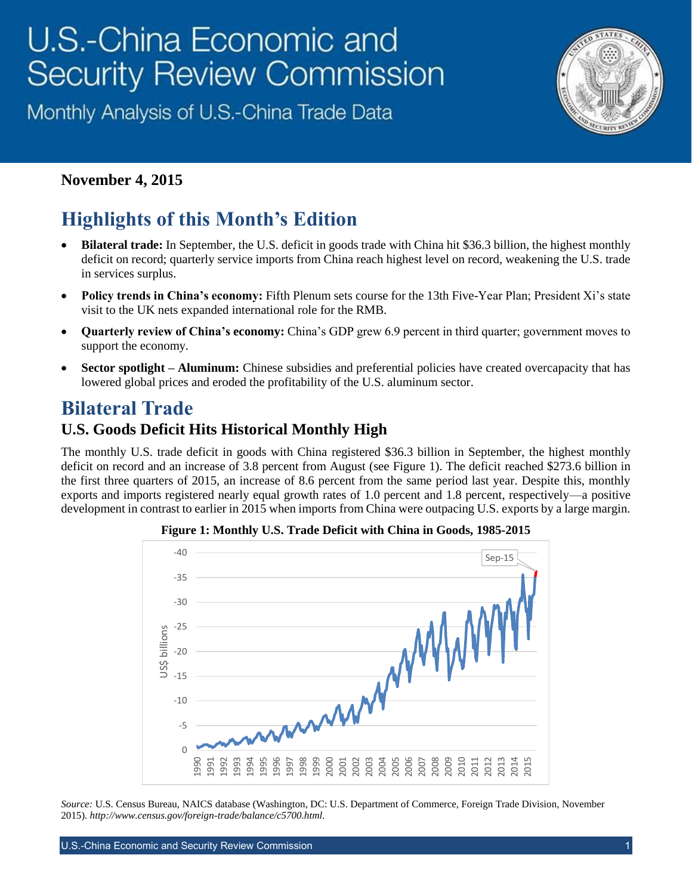# U.S.-China Economic and **Security Review Commission**

Monthly Analysis of U.S.-China Trade Data



#### **November 4, 2015**

# **Highlights of this Month's Edition**

- **Bilateral trade:** In September, the U.S. deficit in goods trade with China hit \$36.3 billion, the highest monthly deficit on record; quarterly service imports from China reach highest level on record, weakening the U.S. trade in services surplus.
- **Policy trends in China's economy:** Fifth Plenum sets course for the 13th Five-Year Plan; President Xi's state visit to the UK nets expanded international role for the RMB.
- **Quarterly review of China's economy:** China's GDP grew 6.9 percent in third quarter; government moves to support the economy.
- **Sector spotlight – Aluminum:** Chinese subsidies and preferential policies have created overcapacity that has lowered global prices and eroded the profitability of the U.S. aluminum sector.

## **Bilateral Trade**

#### **U.S. Goods Deficit Hits Historical Monthly High**

The monthly U.S. trade deficit in goods with China registered \$36.3 billion in September, the highest monthly deficit on record and an increase of 3.8 percent from August (see Figure 1). The deficit reached \$273.6 billion in the first three quarters of 2015, an increase of 8.6 percent from the same period last year. Despite this, monthly exports and imports registered nearly equal growth rates of 1.0 percent and 1.8 percent, respectively—a positive development in contrast to earlier in 2015 when imports from China were outpacing U.S. exports by a large margin.



**Figure 1: Monthly U.S. Trade Deficit with China in Goods, 1985-2015**

*Source:* U.S. Census Bureau, NAICS database (Washington, DC: U.S. Department of Commerce, Foreign Trade Division, November 2015). *[http://www.census.gov/foreign-trade/balance/c5700.html.](http://www.census.gov/foreign-trade/balance/c5700.html)*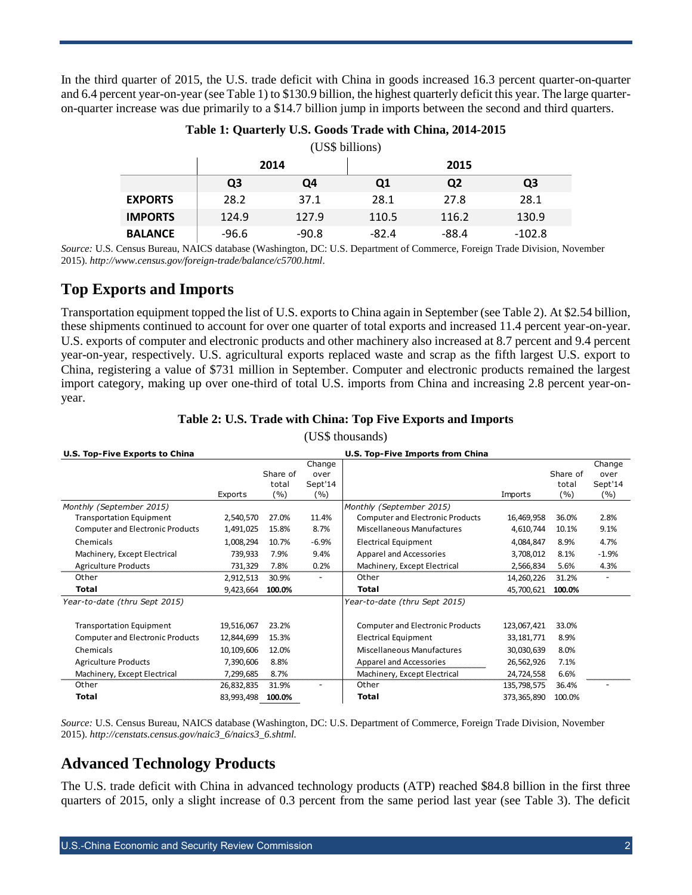In the third quarter of 2015, the U.S. trade deficit with China in goods increased 16.3 percent quarter-on-quarter and 6.4 percent year-on-year (see Table 1) to \$130.9 billion, the highest quarterly deficit this year. The large quarteron-quarter increase was due primarily to a \$14.7 billion jump in imports between the second and third quarters.

| (US\$ billions) |                |         |         |                |          |  |  |  |  |
|-----------------|----------------|---------|---------|----------------|----------|--|--|--|--|
|                 | 2014           |         | 2015    |                |          |  |  |  |  |
|                 | Q <sub>3</sub> | Q4      | Q1      | Q <sub>2</sub> | Q3       |  |  |  |  |
| <b>EXPORTS</b>  | 28.2           | 37.1    | 28.1    | 27.8           | 28.1     |  |  |  |  |
| <b>IMPORTS</b>  | 124.9          | 127.9   | 110.5   | 116.2          | 130.9    |  |  |  |  |
| <b>BALANCE</b>  | $-96.6$        | $-90.8$ | $-82.4$ | $-88.4$        | $-102.8$ |  |  |  |  |

#### **Table 1: Quarterly U.S. Goods Trade with China, 2014-2015**

*Source:* U.S. Census Bureau, NAICS database (Washington, DC: U.S. Department of Commerce, Foreign Trade Division, November 2015). *<http://www.census.gov/foreign-trade/balance/c5700.html>*.

#### **Top Exports and Imports**

Transportation equipment topped the list of U.S. exports to China again in September (see Table 2). At \$2.54 billion, these shipments continued to account for over one quarter of total exports and increased 11.4 percent year-on-year. U.S. exports of computer and electronic products and other machinery also increased at 8.7 percent and 9.4 percent year-on-year, respectively. U.S. agricultural exports replaced waste and scrap as the fifth largest U.S. export to China, registering a value of \$731 million in September. Computer and electronic products remained the largest import category, making up over one-third of total U.S. imports from China and increasing 2.8 percent year-onyear.

#### **Table 2: U.S. Trade with China: Top Five Exports and Imports**

| U.S. Top-Five Exports to China          |            |          | U.S. Top-Five Imports from China |                                         |              |          |                |
|-----------------------------------------|------------|----------|----------------------------------|-----------------------------------------|--------------|----------|----------------|
|                                         |            | Share of | Change<br>over                   |                                         |              | Share of | Change<br>over |
|                                         |            | total    | Sept'14                          |                                         |              | total    | Sept'14        |
|                                         | Exports    | (%)      | (%)                              |                                         | Imports      | (%)      | (%)            |
| Monthly (September 2015)                |            |          |                                  | Monthly (September 2015)                |              |          |                |
| <b>Transportation Equipment</b>         | 2,540,570  | 27.0%    | 11.4%                            | <b>Computer and Electronic Products</b> | 16,469,958   | 36.0%    | 2.8%           |
| <b>Computer and Electronic Products</b> | 1,491,025  | 15.8%    | 8.7%                             | <b>Miscellaneous Manufactures</b>       | 4,610,744    | 10.1%    | 9.1%           |
| Chemicals                               | 1,008,294  | 10.7%    | $-6.9%$                          | <b>Electrical Equipment</b>             | 4,084,847    | 8.9%     | 4.7%           |
| Machinery, Except Electrical            | 739,933    | 7.9%     | 9.4%                             | Apparel and Accessories                 | 3,708,012    | 8.1%     | $-1.9%$        |
| <b>Agriculture Products</b>             | 731,329    | 7.8%     | 0.2%                             | Machinery, Except Electrical            | 2,566,834    | 5.6%     | 4.3%           |
| Other                                   | 2,912,513  | 30.9%    |                                  | Other                                   | 14,260,226   | 31.2%    |                |
| Total                                   | 9,423,664  | 100.0%   |                                  | Total                                   | 45,700,621   | 100.0%   |                |
| Year-to-date (thru Sept 2015)           |            |          |                                  | Year-to-date (thru Sept 2015)           |              |          |                |
| <b>Transportation Equipment</b>         | 19,516,067 | 23.2%    |                                  | <b>Computer and Electronic Products</b> | 123,067,421  | 33.0%    |                |
| <b>Computer and Electronic Products</b> | 12,844,699 | 15.3%    |                                  | <b>Electrical Equipment</b>             | 33, 181, 771 | 8.9%     |                |
| Chemicals                               | 10,109,606 | 12.0%    |                                  | Miscellaneous Manufactures              | 30,030,639   | 8.0%     |                |
| <b>Agriculture Products</b>             | 7,390,606  | 8.8%     |                                  | Apparel and Accessories                 | 26,562,926   | 7.1%     |                |
| Machinery, Except Electrical            | 7,299,685  | 8.7%     |                                  | Machinery, Except Electrical            | 24,724,558   | 6.6%     |                |
| Other                                   | 26,832,835 | 31.9%    |                                  | Other                                   | 135,798,575  | 36.4%    |                |
| <b>Total</b>                            | 83,993,498 | 100.0%   |                                  | <b>Total</b>                            | 373,365,890  | 100.0%   |                |

(US\$ thousands)

*Source:* U.S. Census Bureau, NAICS database (Washington, DC: U.S. Department of Commerce, Foreign Trade Division, November 2015). *http://censtats.census.gov/naic3\_6/naics3\_6.shtml.*

#### **Advanced Technology Products**

The U.S. trade deficit with China in advanced technology products (ATP) reached \$84.8 billion in the first three quarters of 2015, only a slight increase of 0.3 percent from the same period last year (see Table 3). The deficit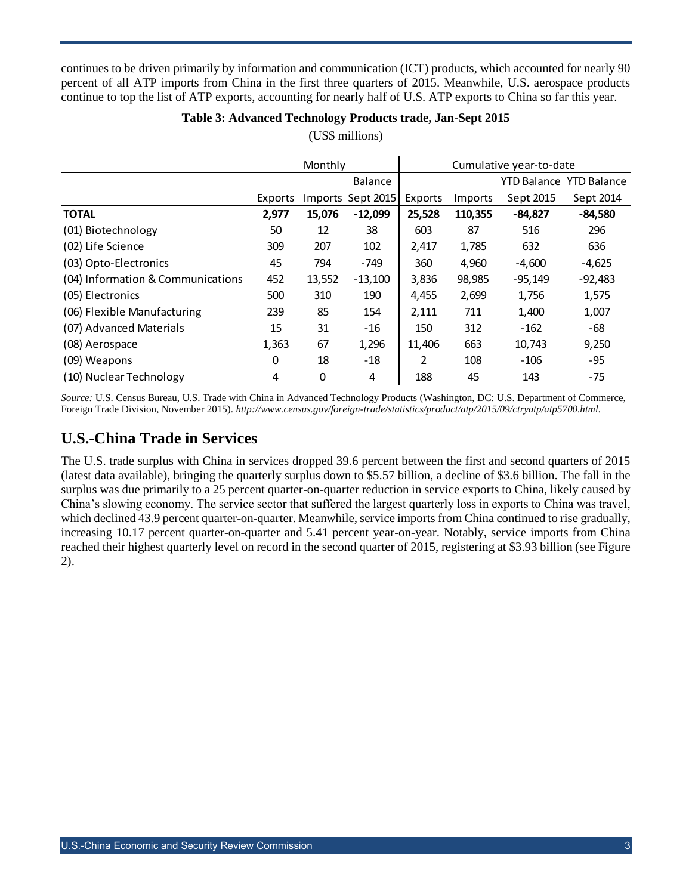continues to be driven primarily by information and communication (ICT) products, which accounted for nearly 90 percent of all ATP imports from China in the first three quarters of 2015. Meanwhile, U.S. aerospace products continue to top the list of ATP exports, accounting for nearly half of U.S. ATP exports to China so far this year.

#### **Table 3: Advanced Technology Products trade, Jan-Sept 2015**

|                                   | Monthly |             |                   | Cumulative year-to-date |         |                    |                    |
|-----------------------------------|---------|-------------|-------------------|-------------------------|---------|--------------------|--------------------|
|                                   |         |             | <b>Balance</b>    |                         |         | <b>YTD Balance</b> | <b>YTD Balance</b> |
|                                   | Exports |             | Imports Sept 2015 | Exports                 | Imports | Sept 2015          | Sept 2014          |
| <b>TOTAL</b>                      | 2,977   | 15,076      | $-12,099$         | 25,528                  | 110,355 | $-84,827$          | $-84,580$          |
| (01) Biotechnology                | 50      | 12          | 38                | 603                     | 87      | 516                | 296                |
| (02) Life Science                 | 309     | 207         | 102               | 2,417                   | 1,785   | 632                | 636                |
| (03) Opto-Electronics             | 45      | 794         | $-749$            | 360                     | 4,960   | $-4,600$           | $-4,625$           |
| (04) Information & Communications | 452     | 13,552      | $-13,100$         | 3,836                   | 98,985  | $-95,149$          | $-92,483$          |
| (05) Electronics                  | 500     | 310         | 190               | 4,455                   | 2,699   | 1,756              | 1,575              |
| (06) Flexible Manufacturing       | 239     | 85          | 154               | 2,111                   | 711     | 1,400              | 1,007              |
| (07) Advanced Materials           | 15      | 31          | $-16$             | 150                     | 312     | $-162$             | -68                |
| (08) Aerospace                    | 1,363   | 67          | 1,296             | 11,406                  | 663     | 10,743             | 9,250              |
| (09) Weapons                      | 0       | 18          | $-18$             | 2                       | 108     | $-106$             | -95                |
| (10) Nuclear Technology           | 4       | $\mathbf 0$ | 4                 | 188                     | 45      | 143                | $-75$              |

(US\$ millions)

*Source:* U.S. Census Bureau, U.S. Trade with China in Advanced Technology Products (Washington, DC: U.S. Department of Commerce, Foreign Trade Division, November 2015). *http://www.census.gov/foreign-trade/statistics/product/atp/2015/09/ctryatp/atp5700.html.*

## **U.S.-China Trade in Services**

The U.S. trade surplus with China in services dropped 39.6 percent between the first and second quarters of 2015 (latest data available), bringing the quarterly surplus down to \$5.57 billion, a decline of \$3.6 billion. The fall in the surplus was due primarily to a 25 percent quarter-on-quarter reduction in service exports to China, likely caused by China's slowing economy. The service sector that suffered the largest quarterly loss in exports to China was travel, which declined 43.9 percent quarter-on-quarter. Meanwhile, service imports from China continued to rise gradually, increasing 10.17 percent quarter-on-quarter and 5.41 percent year-on-year. Notably, service imports from China reached their highest quarterly level on record in the second quarter of 2015, registering at \$3.93 billion (see Figure 2).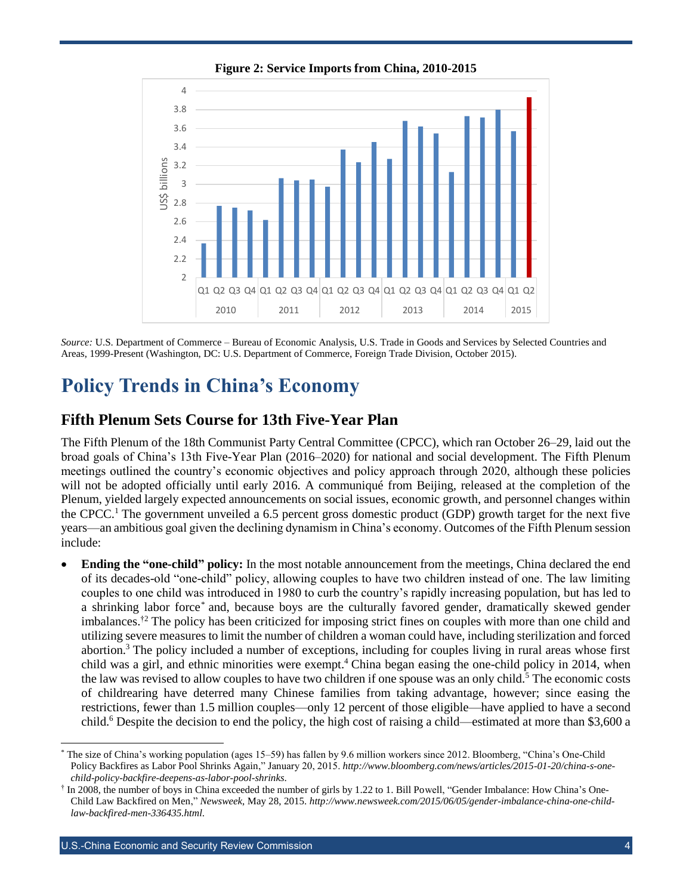

**Figure 2: Service Imports from China, 2010-2015**

*Source:* U.S. Department of Commerce – Bureau of Economic Analysis, U.S. Trade in Goods and Services by Selected Countries and Areas, 1999-Present (Washington, DC: U.S. Department of Commerce, Foreign Trade Division, October 2015).

## **Policy Trends in China's Economy**

#### **Fifth Plenum Sets Course for 13th Five-Year Plan**

The Fifth Plenum of the 18th Communist Party Central Committee (CPCC), which ran October 26–29, laid out the broad goals of China's 13th Five-Year Plan (2016–2020) for national and social development. The Fifth Plenum meetings outlined the country's economic objectives and policy approach through 2020, although these policies will not be adopted officially until early 2016. A communiqué from Beijing, released at the completion of the Plenum, yielded largely expected announcements on social issues, economic growth, and personnel changes within the CPCC.<sup>1</sup> The government unveiled a 6.5 percent gross domestic product (GDP) growth target for the next five years—an ambitious goal given the declining dynamism in China's economy. Outcomes of the Fifth Plenum session include:

 **Ending the "one-child" policy:** In the most notable announcement from the meetings, China declared the end of its decades-old "one-child" policy, allowing couples to have two children instead of one. The law limiting couples to one child was introduced in 1980 to curb the country's rapidly increasing population, but has led to a shrinking labor force<sup>\*</sup> and, because boys are the culturally favored gender, dramatically skewed gender imbalances.<sup>†2</sup> The policy has been criticized for imposing strict fines on couples with more than one child and utilizing severe measures to limit the number of children a woman could have, including sterilization and forced abortion.<sup>3</sup> The policy included a number of exceptions, including for couples living in rural areas whose first child was a girl, and ethnic minorities were exempt.<sup>4</sup> China began easing the one-child policy in 2014, when the law was revised to allow couples to have two children if one spouse was an only child.<sup>5</sup> The economic costs of childrearing have deterred many Chinese families from taking advantage, however; since easing the restrictions, fewer than 1.5 million couples—only 12 percent of those eligible—have applied to have a second child.<sup>6</sup> Despite the decision to end the policy, the high cost of raising a child—estimated at more than \$3,600 a

l \* The size of China's working population (ages 15–59) has fallen by 9.6 million workers since 2012. Bloomberg, "China's One-Child Policy Backfires as Labor Pool Shrinks Again," January 20, 2015. *[http://www.bloomberg.com/news/articles/2015-01-20/china-s-one](http://www.bloomberg.com/news/articles/2015-01-20/china-s-one-child-policy-backfire-deepens-as-labor-pool-shrinks)[child-policy-backfire-deepens-as-labor-pool-shrinks](http://www.bloomberg.com/news/articles/2015-01-20/china-s-one-child-policy-backfire-deepens-as-labor-pool-shrinks)*.

<sup>†</sup> In 2008, the number of boys in China exceeded the number of girls by 1.22 to 1. Bill Powell, "Gender Imbalance: How China's One-Child Law Backfired on Men," *Newsweek*, May 28, 2015. *[http://www.newsweek.com/2015/06/05/gender-imbalance-china-one-child](http://www.newsweek.com/2015/06/05/gender-imbalance-china-one-child-law-backfired-men-336435.html)[law-backfired-men-336435.html](http://www.newsweek.com/2015/06/05/gender-imbalance-china-one-child-law-backfired-men-336435.html)*.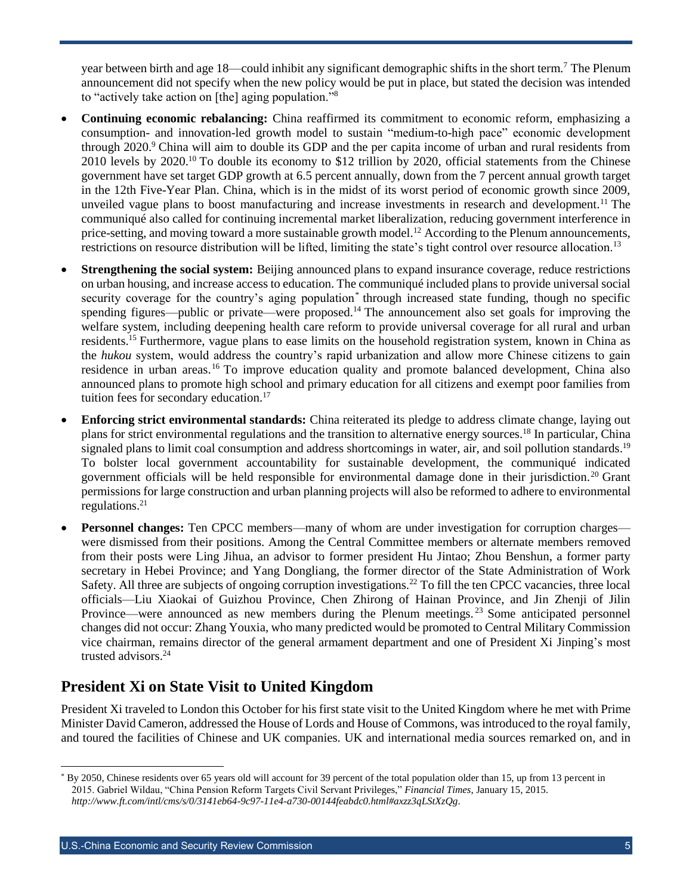year between birth and age 18—could inhibit any significant demographic shifts in the short term.<sup>7</sup> The Plenum announcement did not specify when the new policy would be put in place, but stated the decision was intended to "actively take action on [the] aging population."<sup>8</sup>

- **Continuing economic rebalancing:** China reaffirmed its commitment to economic reform, emphasizing a consumption- and innovation-led growth model to sustain "medium-to-high pace" economic development through 2020.<sup>9</sup> China will aim to double its GDP and the per capita income of urban and rural residents from 2010 levels by 2020.<sup>10</sup> To double its economy to \$12 trillion by 2020, official statements from the Chinese government have set target GDP growth at 6.5 percent annually, down from the 7 percent annual growth target in the 12th Five-Year Plan. China, which is in the midst of its worst period of economic growth since 2009, unveiled vague plans to boost manufacturing and increase investments in research and development.<sup>11</sup> The communiqué also called for continuing incremental market liberalization, reducing government interference in price-setting, and moving toward a more sustainable growth model.<sup>12</sup> According to the Plenum announcements, restrictions on resource distribution will be lifted, limiting the state's tight control over resource allocation.<sup>13</sup>
- **Strengthening the social system:** Beijing announced plans to expand insurance coverage, reduce restrictions on urban housing, and increase access to education. The communiqué included plans to provide universal social security coverage for the country's aging population<sup>\*</sup> through increased state funding, though no specific spending figures—public or private—were proposed.<sup>14</sup> The announcement also set goals for improving the welfare system, including deepening health care reform to provide universal coverage for all rural and urban residents.<sup>15</sup> Furthermore, vague plans to ease limits on the household registration system, known in China as the *hukou* system, would address the country's rapid urbanization and allow more Chinese citizens to gain residence in urban areas.<sup>16</sup> To improve education quality and promote balanced development, China also announced plans to promote high school and primary education for all citizens and exempt poor families from tuition fees for secondary education.<sup>17</sup>
- **Enforcing strict environmental standards:** China reiterated its pledge to address climate change, laying out plans for strict environmental regulations and the transition to alternative energy sources.<sup>18</sup> In particular, China signaled plans to limit coal consumption and address shortcomings in water, air, and soil pollution standards.<sup>19</sup> To bolster local government accountability for sustainable development, the communiqué indicated government officials will be held responsible for environmental damage done in their jurisdiction.<sup>20</sup> Grant permissions for large construction and urban planning projects will also be reformed to adhere to environmental regulations.<sup>21</sup>
- **Personnel changes:** Ten CPCC members—many of whom are under investigation for corruption charges were dismissed from their positions. Among the Central Committee members or alternate members removed from their posts were Ling Jihua, an advisor to former president Hu Jintao; Zhou Benshun, a former party secretary in Hebei Province; and Yang Dongliang, the former director of the State Administration of Work Safety. All three are subjects of ongoing corruption investigations.<sup>22</sup> To fill the ten CPCC vacancies, three local officials—Liu Xiaokai of Guizhou Province, Chen Zhirong of Hainan Province, and Jin Zhenji of Jilin Province—were announced as new members during the Plenum meetings.<sup>23</sup> Some anticipated personnel changes did not occur: Zhang Youxia, who many predicted would be promoted to Central Military Commission vice chairman, remains director of the general armament department and one of President Xi Jinping's most trusted advisors.<sup>24</sup>

## **President Xi on State Visit to United Kingdom**

President Xi traveled to London this October for his first state visit to the United Kingdom where he met with Prime Minister David Cameron, addressed the House of Lords and House of Commons, was introduced to the royal family, and toured the facilities of Chinese and UK companies. UK and international media sources remarked on, and in

<sup>\*</sup> By 2050, Chinese residents over 65 years old will account for 39 percent of the total population older than 15, up from 13 percent in 2015. Gabriel Wildau, "China Pension Reform Targets Civil Servant Privileges," *Financial Times*, January 15, 2015. *<http://www.ft.com/intl/cms/s/0/3141eb64-9c97-11e4-a730-00144feabdc0.html#axzz3qLStXzQg>*.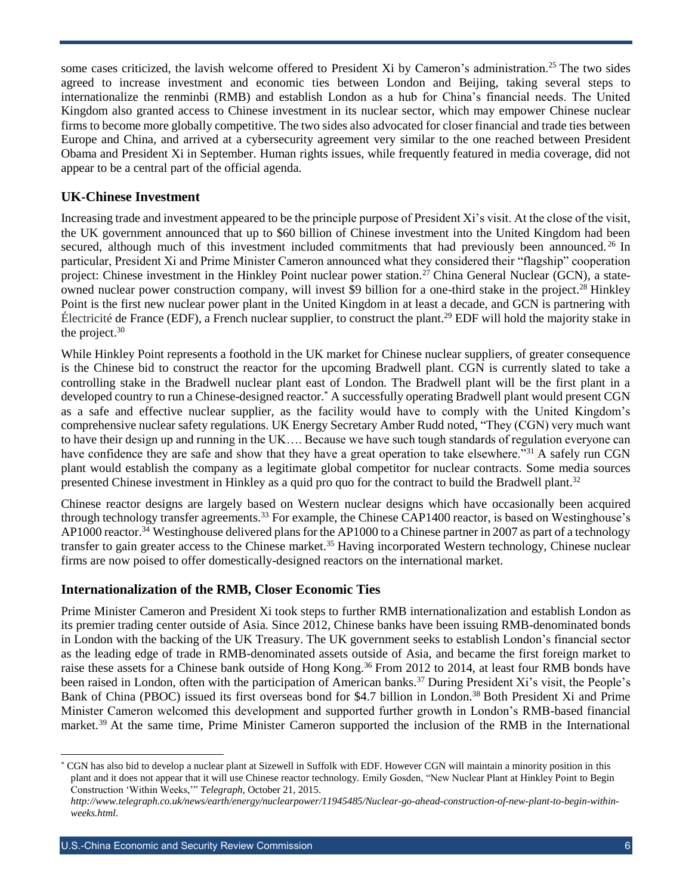some cases criticized, the lavish welcome offered to President Xi by Cameron's administration.<sup>25</sup> The two sides agreed to increase investment and economic ties between London and Beijing, taking several steps to internationalize the renminbi (RMB) and establish London as a hub for China's financial needs. The United Kingdom also granted access to Chinese investment in its nuclear sector, which may empower Chinese nuclear firms to become more globally competitive. The two sides also advocated for closer financial and trade ties between Europe and China, and arrived at a cybersecurity agreement very similar to the one reached between President Obama and President Xi in September. Human rights issues, while frequently featured in media coverage, did not appear to be a central part of the official agenda.

#### **UK-Chinese Investment**

Increasing trade and investment appeared to be the principle purpose of President Xi's visit. At the close of the visit, the UK government announced that up to \$60 billion of Chinese investment into the United Kingdom had been secured, although much of this investment included commitments that had previously been announced.<sup>26</sup> In particular, President Xi and Prime Minister Cameron announced what they considered their "flagship" cooperation project: Chinese investment in the Hinkley Point nuclear power station.<sup>27</sup> China General Nuclear (GCN), a stateowned nuclear power construction company, will invest \$9 billion for a one-third stake in the project.<sup>28</sup> Hinkley Point is the first new nuclear power plant in the United Kingdom in at least a decade, and GCN is partnering with Électricité de France (EDF), a French nuclear supplier, to construct the plant.<sup>29</sup> EDF will hold the majority stake in the project.<sup>30</sup>

While Hinkley Point represents a foothold in the UK market for Chinese nuclear suppliers, of greater consequence is the Chinese bid to construct the reactor for the upcoming Bradwell plant. CGN is currently slated to take a controlling stake in the Bradwell nuclear plant east of London. The Bradwell plant will be the first plant in a developed country to run a Chinese-designed reactor.<sup>\*</sup> A successfully operating Bradwell plant would present CGN as a safe and effective nuclear supplier, as the facility would have to comply with the United Kingdom's comprehensive nuclear safety regulations. UK Energy Secretary Amber Rudd noted, "They (CGN) very much want to have their design up and running in the UK…. Because we have such tough standards of regulation everyone can have confidence they are safe and show that they have a great operation to take elsewhere."<sup>31</sup> A safely run CGN plant would establish the company as a legitimate global competitor for nuclear contracts. Some media sources presented Chinese investment in Hinkley as a quid pro quo for the contract to build the Bradwell plant.<sup>32</sup>

Chinese reactor designs are largely based on Western nuclear designs which have occasionally been acquired through technology transfer agreements.<sup>33</sup> For example, the Chinese CAP1400 reactor, is based on Westinghouse's AP1000 reactor.<sup>34</sup> Westinghouse delivered plans for the AP1000 to a Chinese partner in 2007 as part of a technology transfer to gain greater access to the Chinese market.<sup>35</sup> Having incorporated Western technology, Chinese nuclear firms are now poised to offer domestically-designed reactors on the international market.

#### **Internationalization of the RMB, Closer Economic Ties**

Prime Minister Cameron and President Xi took steps to further RMB internationalization and establish London as its premier trading center outside of Asia. Since 2012, Chinese banks have been issuing RMB-denominated bonds in London with the backing of the UK Treasury. The UK government seeks to establish London's financial sector as the leading edge of trade in RMB-denominated assets outside of Asia, and became the first foreign market to raise these assets for a Chinese bank outside of Hong Kong.<sup>36</sup> From 2012 to 2014, at least four RMB bonds have been raised in London, often with the participation of American banks.<sup>37</sup> During President Xi's visit, the People's Bank of China (PBOC) issued its first overseas bond for \$4.7 billion in London.<sup>38</sup> Both President Xi and Prime Minister Cameron welcomed this development and supported further growth in London's RMB-based financial market.<sup>39</sup> At the same time, Prime Minister Cameron supported the inclusion of the RMB in the International

 $\overline{\phantom{a}}$ 

<sup>\*</sup> CGN has also bid to develop a nuclear plant at Sizewell in Suffolk with EDF. However CGN will maintain a minority position in this plant and it does not appear that it will use Chinese reactor technology. Emily Gosden, "New Nuclear Plant at Hinkley Point to Begin Construction 'Within Weeks,'" *Telegraph,* October 21, 2015.

*[http://www.telegraph.co.uk/news/earth/energy/nuclearpower/11945485/Nuclear-go-ahead-construction-of-new-plant-to-begin-within](http://www.telegraph.co.uk/news/earth/energy/nuclearpower/11945485/Nuclear-go-ahead-construction-of-new-plant-to-begin-within-weeks.html)[weeks.html](http://www.telegraph.co.uk/news/earth/energy/nuclearpower/11945485/Nuclear-go-ahead-construction-of-new-plant-to-begin-within-weeks.html)*.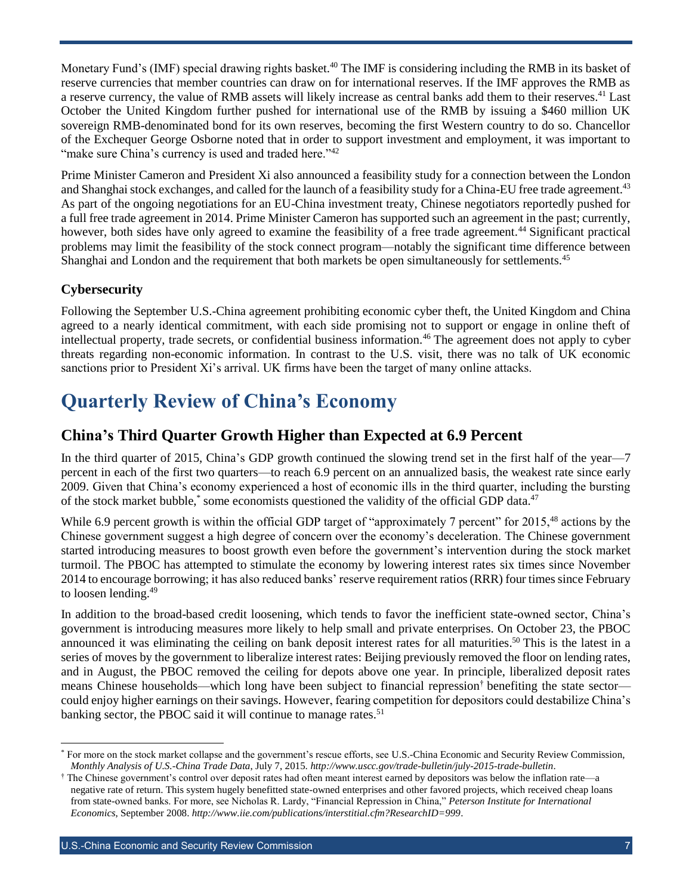Monetary Fund's (IMF) special drawing rights basket.<sup>40</sup> The IMF is considering including the RMB in its basket of reserve currencies that member countries can draw on for international reserves. If the IMF approves the RMB as a reserve currency, the value of RMB assets will likely increase as central banks add them to their reserves.<sup>41</sup> Last October the United Kingdom further pushed for international use of the RMB by issuing a \$460 million UK sovereign RMB-denominated bond for its own reserves, becoming the first Western country to do so. Chancellor of the Exchequer George Osborne noted that in order to support investment and employment, it was important to "make sure China's currency is used and traded here."<sup>42</sup>

Prime Minister Cameron and President Xi also announced a feasibility study for a connection between the London and Shanghai stock exchanges, and called for the launch of a feasibility study for a China-EU free trade agreement.<sup>43</sup> As part of the ongoing negotiations for an EU-China investment treaty, Chinese negotiators reportedly pushed for a full free trade agreement in 2014. Prime Minister Cameron has supported such an agreement in the past; currently, however, both sides have only agreed to examine the feasibility of a free trade agreement.<sup>44</sup> Significant practical problems may limit the feasibility of the stock connect program—notably the significant time difference between Shanghai and London and the requirement that both markets be open simultaneously for settlements.<sup>45</sup>

#### **Cybersecurity**

Following the September U.S.-China agreement prohibiting economic cyber theft, the United Kingdom and China agreed to a nearly identical commitment, with each side promising not to support or engage in online theft of intellectual property, trade secrets, or confidential business information.<sup>46</sup> The agreement does not apply to cyber threats regarding non-economic information. In contrast to the U.S. visit, there was no talk of UK economic sanctions prior to President Xi's arrival. UK firms have been the target of many online attacks.

# **Quarterly Review of China's Economy**

#### **China's Third Quarter Growth Higher than Expected at 6.9 Percent**

In the third quarter of 2015, China's GDP growth continued the slowing trend set in the first half of the year—7 percent in each of the first two quarters—to reach 6.9 percent on an annualized basis, the weakest rate since early 2009. Given that China's economy experienced a host of economic ills in the third quarter, including the bursting of the stock market bubble,<sup>\*</sup> some economists questioned the validity of the official GDP data.<sup>47</sup>

While 6.9 percent growth is within the official GDP target of "approximately 7 percent" for 2015,<sup>48</sup> actions by the Chinese government suggest a high degree of concern over the economy's deceleration. The Chinese government started introducing measures to boost growth even before the government's intervention during the stock market turmoil. The PBOC has attempted to stimulate the economy by lowering interest rates six times since November 2014 to encourage borrowing; it has also reduced banks' reserve requirement ratios (RRR) four times since February to loosen lending.<sup>49</sup>

In addition to the broad-based credit loosening, which tends to favor the inefficient state-owned sector, China's government is introducing measures more likely to help small and private enterprises. On October 23, the PBOC announced it was eliminating the ceiling on bank deposit interest rates for all maturities.<sup>50</sup> This is the latest in a series of moves by the government to liberalize interest rates: Beijing previously removed the floor on lending rates, and in August, the PBOC removed the ceiling for depots above one year. In principle, liberalized deposit rates means Chinese households—which long have been subject to financial repression† benefiting the state sector could enjoy higher earnings on their savings. However, fearing competition for depositors could destabilize China's banking sector, the PBOC said it will continue to manage rates.<sup>51</sup>

l \* For more on the stock market collapse and the government's rescue efforts, see U.S.-China Economic and Security Review Commission, *Monthly Analysis of U.S.-China Trade Data*, July 7, 2015. *<http://www.uscc.gov/trade-bulletin/july-2015-trade-bulletin>*.

<sup>†</sup> The Chinese government's control over deposit rates had often meant interest earned by depositors was below the inflation rate—a negative rate of return. This system hugely benefitted state-owned enterprises and other favored projects, which received cheap loans from state-owned banks. For more, see Nicholas R. Lardy, "Financial Repression in China," *Peterson Institute for International Economics*, September 2008. *<http://www.iie.com/publications/interstitial.cfm?ResearchID=999>*.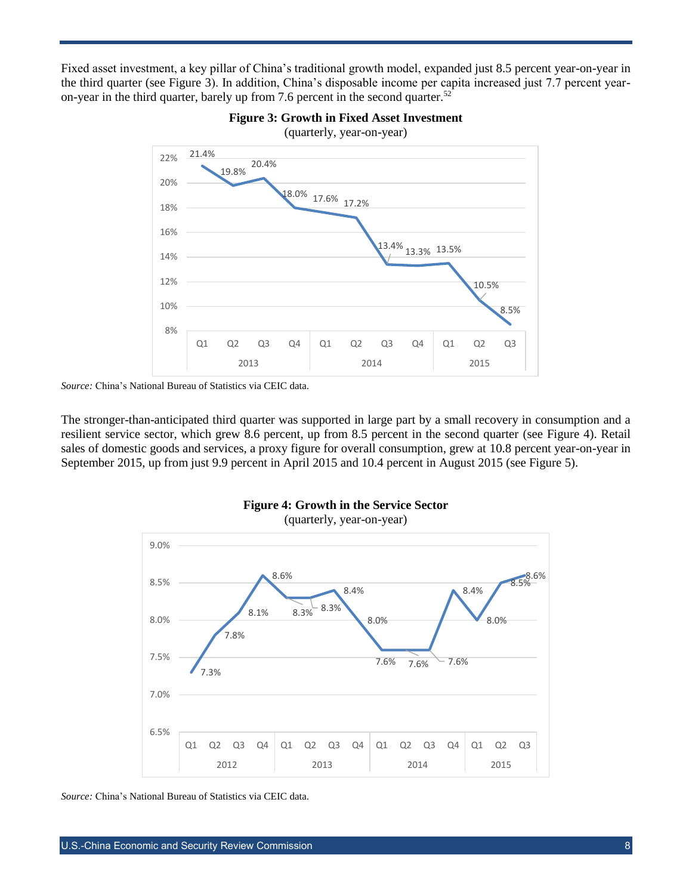Fixed asset investment, a key pillar of China's traditional growth model, expanded just 8.5 percent year-on-year in the third quarter (see Figure 3). In addition, China's disposable income per capita increased just 7.7 percent yearon-year in the third quarter, barely up from 7.6 percent in the second quarter.<sup>52</sup>





The stronger-than-anticipated third quarter was supported in large part by a small recovery in consumption and a resilient service sector, which grew 8.6 percent, up from 8.5 percent in the second quarter (see Figure 4). Retail sales of domestic goods and services, a proxy figure for overall consumption, grew at 10.8 percent year-on-year in September 2015, up from just 9.9 percent in April 2015 and 10.4 percent in August 2015 (see Figure 5).



(quarterly, year-on-year)



*Source:* China's National Bureau of Statistics via CEIC data.

*Source:* China's National Bureau of Statistics via CEIC data.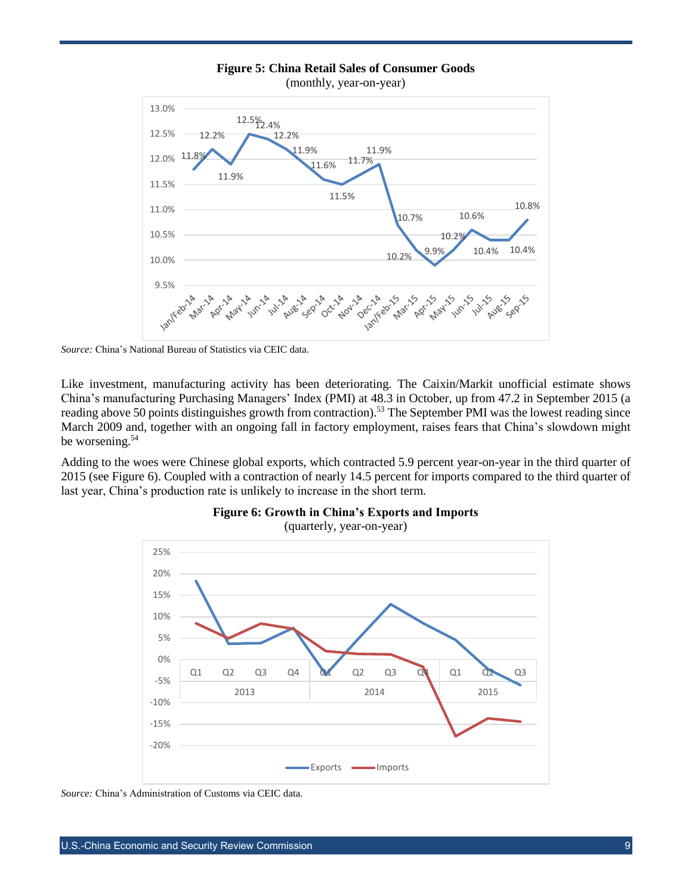

**Figure 5: China Retail Sales of Consumer Goods**

*Source:* China's National Bureau of Statistics via CEIC data.

Like investment, manufacturing activity has been deteriorating. The Caixin/Markit unofficial estimate shows China's manufacturing Purchasing Managers' Index (PMI) at 48.3 in October, up from 47.2 in September 2015 (a reading above 50 points distinguishes growth from contraction).<sup>53</sup> The September PMI was the lowest reading since March 2009 and, together with an ongoing fall in factory employment, raises fears that China's slowdown might be worsening. 54

Adding to the woes were Chinese global exports, which contracted 5.9 percent year-on-year in the third quarter of 2015 (see Figure 6). Coupled with a contraction of nearly 14.5 percent for imports compared to the third quarter of last year, China's production rate is unlikely to increase in the short term.





*Source:* China's Administration of Customs via CEIC data.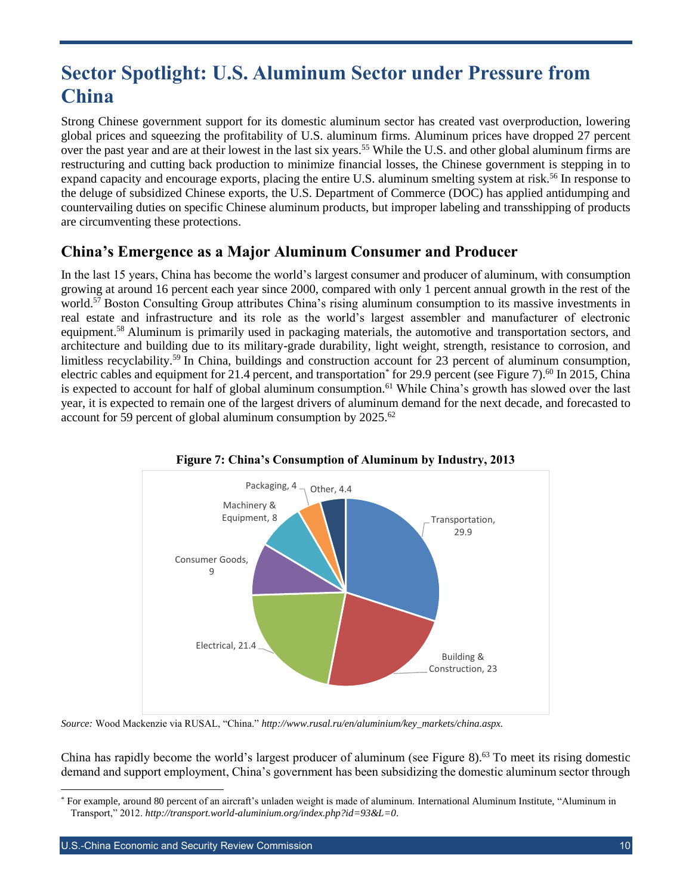# **Sector Spotlight: U.S. Aluminum Sector under Pressure from China**

Strong Chinese government support for its domestic aluminum sector has created vast overproduction, lowering global prices and squeezing the profitability of U.S. aluminum firms. Aluminum prices have dropped 27 percent over the past year and are at their lowest in the last six years.<sup>55</sup> While the U.S. and other global aluminum firms are restructuring and cutting back production to minimize financial losses, the Chinese government is stepping in to expand capacity and encourage exports, placing the entire U.S. aluminum smelting system at risk.<sup>56</sup> In response to the deluge of subsidized Chinese exports, the U.S. Department of Commerce (DOC) has applied antidumping and countervailing duties on specific Chinese aluminum products, but improper labeling and transshipping of products are circumventing these protections.

## **China's Emergence as a Major Aluminum Consumer and Producer**

In the last 15 years, China has become the world's largest consumer and producer of aluminum, with consumption growing at around 16 percent each year since 2000, compared with only 1 percent annual growth in the rest of the world.<sup>57</sup> Boston Consulting Group attributes China's rising aluminum consumption to its massive investments in real estate and infrastructure and its role as the world's largest assembler and manufacturer of electronic equipment.<sup>58</sup> Aluminum is primarily used in packaging materials, the automotive and transportation sectors, and architecture and building due to its military-grade durability, light weight, strength, resistance to corrosion, and limitless recyclability.<sup>59</sup> In China, buildings and construction account for 23 percent of aluminum consumption, electric cables and equipment for 21.4 percent, and transportation<sup>\*</sup> for 29.9 percent (see Figure 7).<sup>60</sup> In 2015, China is expected to account for half of global aluminum consumption.<sup>61</sup> While China's growth has slowed over the last year, it is expected to remain one of the largest drivers of aluminum demand for the next decade, and forecasted to account for 59 percent of global aluminum consumption by  $2025$ .<sup>62</sup>



#### **Figure 7: China's Consumption of Aluminum by Industry, 2013**

*Source:* Wood Mackenzie via RUSAL, "China." *http://www.rusal.ru/en/aluminium/key\_markets/china.aspx.* 

China has rapidly become the world's largest producer of aluminum (see Figure 8).<sup>63</sup> To meet its rising domestic demand and support employment, China's government has been subsidizing the domestic aluminum sector through

 $\overline{a}$ 

<sup>\*</sup> For example, around 80 percent of an aircraft's unladen weight is made of aluminum. International Aluminum Institute, "Aluminum in Transport," 2012. *<http://transport.world-aluminium.org/index.php?id=93&L=0>*.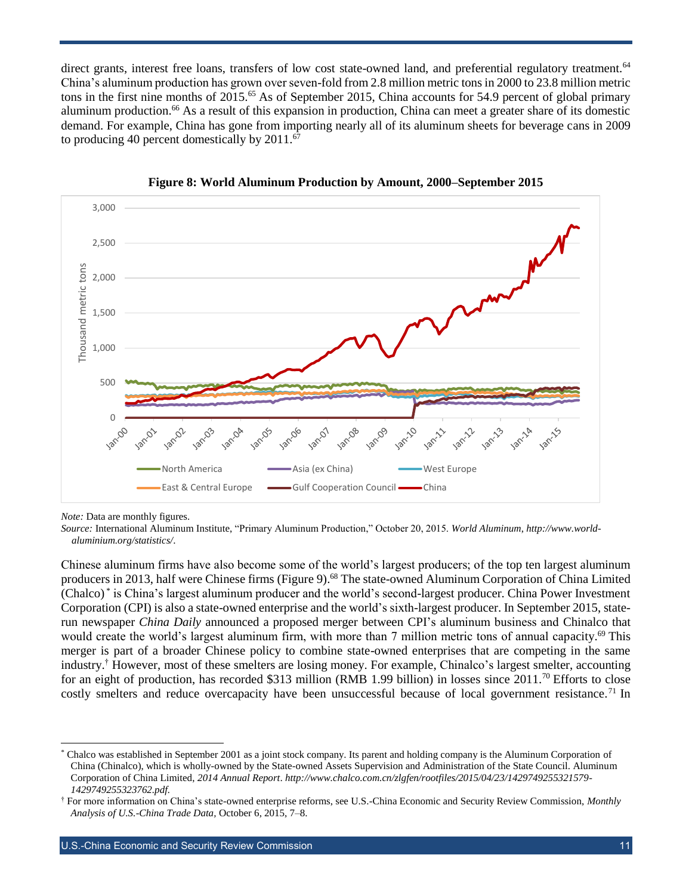direct grants, interest free loans, transfers of low cost state-owned land, and preferential regulatory treatment.<sup>64</sup> China's aluminum production has grown over seven-fold from 2.8 million metric tons in 2000 to 23.8 million metric tons in the first nine months of 2015.<sup>65</sup> As of September 2015, China accounts for 54.9 percent of global primary aluminum production.<sup>66</sup> As a result of this expansion in production, China can meet a greater share of its domestic demand. For example, China has gone from importing nearly all of its aluminum sheets for beverage cans in 2009 to producing 40 percent domestically by  $2011$ .<sup>67</sup>





*Note:* Data are monthly figures.

l

*Source:* International Aluminum Institute, "Primary Aluminum Production," October 20, 2015. *World Aluminum*, *[http://www.world](http://www.world-aluminium.org/statistics/)[aluminium.org/statistics/](http://www.world-aluminium.org/statistics/)*.

Chinese aluminum firms have also become some of the world's largest producers; of the top ten largest aluminum producers in 2013, half were Chinese firms (Figure 9).<sup>68</sup> The state-owned Aluminum Corporation of China Limited (Chalco) \* is China's largest aluminum producer and the world's second-largest producer. China Power Investment Corporation (CPI) is also a state-owned enterprise and the world's sixth-largest producer. In September 2015, staterun newspaper *China Daily* announced a proposed merger between CPI's aluminum business and Chinalco that would create the world's largest aluminum firm, with more than 7 million metric tons of annual capacity.<sup>69</sup> This merger is part of a broader Chinese policy to combine state-owned enterprises that are competing in the same industry.† However, most of these smelters are losing money. For example, Chinalco's largest smelter, accounting for an eight of production, has recorded \$313 million (RMB 1.99 billion) in losses since 2011.<sup>70</sup> Efforts to close costly smelters and reduce overcapacity have been unsuccessful because of local government resistance.<sup>71</sup> In

<sup>\*</sup> Chalco was established in September 2001 as a joint stock company. Its parent and holding company is the Aluminum Corporation of China (Chinalco), which is wholly-owned by the State-owned Assets Supervision and Administration of the State Council. Aluminum Corporation of China Limited, *2014 Annual Report*. *[http://www.chalco.com.cn/zlgfen/rootfiles/2015/04/23/1429749255321579-](http://www.chalco.com.cn/zlgfen/rootfiles/2015/04/23/1429749255321579-1429749255323762.pdf) [1429749255323762.pdf.](http://www.chalco.com.cn/zlgfen/rootfiles/2015/04/23/1429749255321579-1429749255323762.pdf)* 

<sup>†</sup> For more information on China's state-owned enterprise reforms, see U.S.-China Economic and Security Review Commission, *Monthly Analysis of U.S.-China Trade Data,* October 6, 2015, 7–8.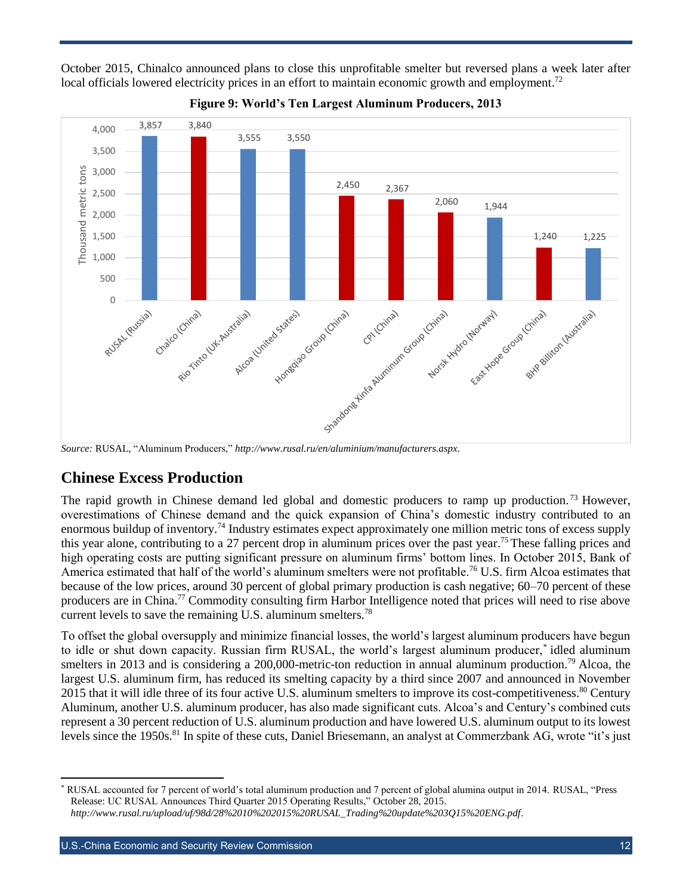October 2015, Chinalco announced plans to close this unprofitable smelter but reversed plans a week later after local officials lowered electricity prices in an effort to maintain economic growth and employment.<sup>72</sup>





## **Chinese Excess Production**

The rapid growth in Chinese demand led global and domestic producers to ramp up production.<sup>73</sup> However, overestimations of Chinese demand and the quick expansion of China's domestic industry contributed to an enormous buildup of inventory.<sup>74</sup> Industry estimates expect approximately one million metric tons of excess supply this year alone, contributing to a 27 percent drop in aluminum prices over the past year.<sup>75</sup> These falling prices and high operating costs are putting significant pressure on aluminum firms' bottom lines. In October 2015, Bank of America estimated that half of the world's aluminum smelters were not profitable.<sup>76</sup> U.S. firm Alcoa estimates that because of the low prices, around 30 percent of global primary production is cash negative; 60–70 percent of these producers are in China.<sup>77</sup> Commodity consulting firm Harbor Intelligence noted that prices will need to rise above current levels to save the remaining U.S. aluminum smelters.<sup>78</sup>

To offset the global oversupply and minimize financial losses, the world's largest aluminum producers have begun to idle or shut down capacity. Russian firm RUSAL, the world's largest aluminum producer,\* idled aluminum smelters in 2013 and is considering a 200,000-metric-ton reduction in annual aluminum production.<sup>79</sup> Alcoa, the largest U.S. aluminum firm, has reduced its smelting capacity by a third since 2007 and announced in November 2015 that it will idle three of its four active U.S. aluminum smelters to improve its cost-competitiveness.<sup>80</sup> Century Aluminum, another U.S. aluminum producer, has also made significant cuts. Alcoa's and Century's combined cuts represent a 30 percent reduction of U.S. aluminum production and have lowered U.S. aluminum output to its lowest levels since the 1950s.<sup>81</sup> In spite of these cuts, Daniel Briesemann, an analyst at Commerzbank AG, wrote "it's just

<sup>\*</sup> RUSAL accounted for 7 percent of world's total aluminum production and 7 percent of global alumina output in 2014. RUSAL, "Press Release: UC RUSAL Announces Third Quarter 2015 Operating Results," October 28, 2015. *[http://www.rusal.ru/upload/uf/98d/28%2010%202015%20RUSAL\\_Trading%20update%203Q15%20ENG.pdf](http://www.rusal.ru/upload/uf/98d/28%2010%202015%20RUSAL_Trading%20update%203Q15%20ENG.pdf)*.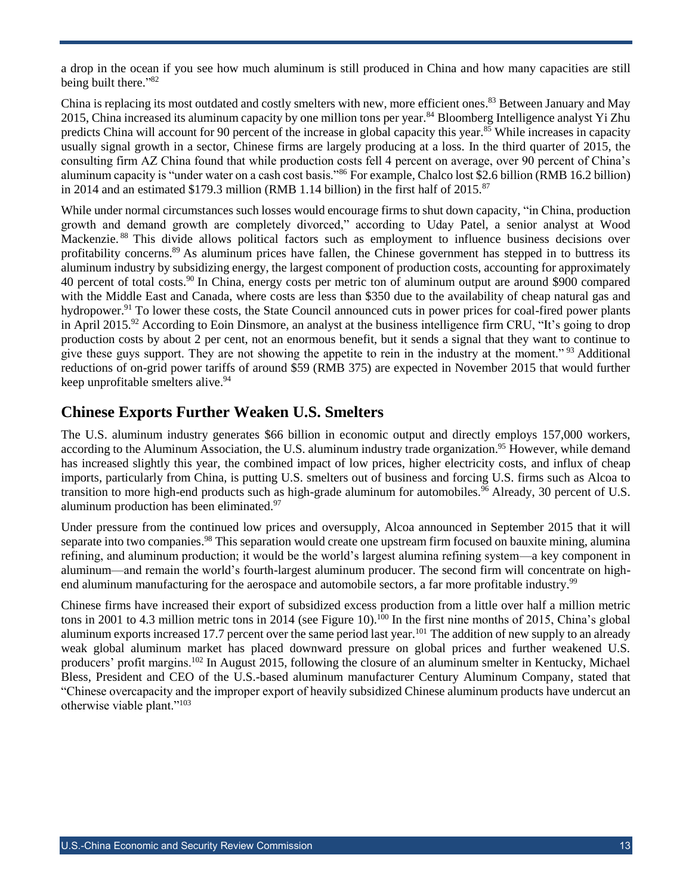a drop in the ocean if you see how much aluminum is still produced in China and how many capacities are still being built there."<sup>82</sup>

China is replacing its most outdated and costly smelters with new, more efficient ones.<sup>83</sup> Between January and May 2015, China increased its aluminum capacity by one million tons per year.<sup>84</sup> Bloomberg Intelligence analyst Yi Zhu predicts China will account for 90 percent of the increase in global capacity this year.<sup>85</sup> While increases in capacity usually signal growth in a sector, Chinese firms are largely producing at a loss. In the third quarter of 2015, the consulting firm AZ China found that while production costs fell 4 percent on average, over 90 percent of China's aluminum capacity is "under water on a cash cost basis."<sup>86</sup> For example, Chalco lost \$2.6 billion (RMB 16.2 billion) in 2014 and an estimated \$179.3 million (RMB 1.14 billion) in the first half of  $2015$ .<sup>87</sup>

While under normal circumstances such losses would encourage firms to shut down capacity, "in China, production growth and demand growth are completely divorced," according to Uday Patel, a senior analyst at Wood Mackenzie. <sup>88</sup> This divide allows political factors such as employment to influence business decisions over profitability concerns.<sup>89</sup> As aluminum prices have fallen, the Chinese government has stepped in to buttress its aluminum industry by subsidizing energy, the largest component of production costs, accounting for approximately 40 percent of total costs.<sup>90</sup> In China, energy costs per metric ton of aluminum output are around \$900 compared with the Middle East and Canada, where costs are less than \$350 due to the availability of cheap natural gas and hydropower.<sup>91</sup> To lower these costs, the State Council announced cuts in power prices for coal-fired power plants in April 2015.<sup>92</sup> According to Eoin Dinsmore, an analyst at the business intelligence firm CRU, "It's going to drop production costs by about 2 per cent, not an enormous benefit, but it sends a signal that they want to continue to give these guys support. They are not showing the appetite to rein in the industry at the moment." <sup>93</sup> Additional reductions of on-grid power tariffs of around \$59 (RMB 375) are expected in November 2015 that would further keep unprofitable smelters alive.<sup>94</sup>

#### **Chinese Exports Further Weaken U.S. Smelters**

The U.S. aluminum industry generates \$66 billion in economic output and directly employs 157,000 workers, according to the Aluminum Association, the U.S. aluminum industry trade organization.<sup>95</sup> However, while demand has increased slightly this year, the combined impact of low prices, higher electricity costs, and influx of cheap imports, particularly from China, is putting U.S. smelters out of business and forcing U.S. firms such as Alcoa to transition to more high-end products such as high-grade aluminum for automobiles.<sup>96</sup> Already, 30 percent of U.S. aluminum production has been eliminated.<sup>97</sup>

Under pressure from the continued low prices and oversupply, Alcoa announced in September 2015 that it will separate into two companies.<sup>98</sup> This separation would create one upstream firm focused on bauxite mining, alumina refining, and aluminum production; it would be the world's largest alumina refining system—a key component in aluminum—and remain the world's fourth-largest aluminum producer. The second firm will concentrate on highend aluminum manufacturing for the aerospace and automobile sectors, a far more profitable industry.<sup>99</sup>

Chinese firms have increased their export of subsidized excess production from a little over half a million metric tons in 2001 to 4.3 million metric tons in 2014 (see Figure 10). <sup>100</sup> In the first nine months of 2015, China's global aluminum exports increased 17.7 percent over the same period last year.<sup>101</sup> The addition of new supply to an already weak global aluminum market has placed downward pressure on global prices and further weakened U.S. producers' profit margins.<sup>102</sup> In August 2015, following the closure of an aluminum smelter in Kentucky, Michael Bless, President and CEO of the U.S.-based aluminum manufacturer Century Aluminum Company, stated that "Chinese overcapacity and the improper export of heavily subsidized Chinese aluminum products have undercut an otherwise viable plant."103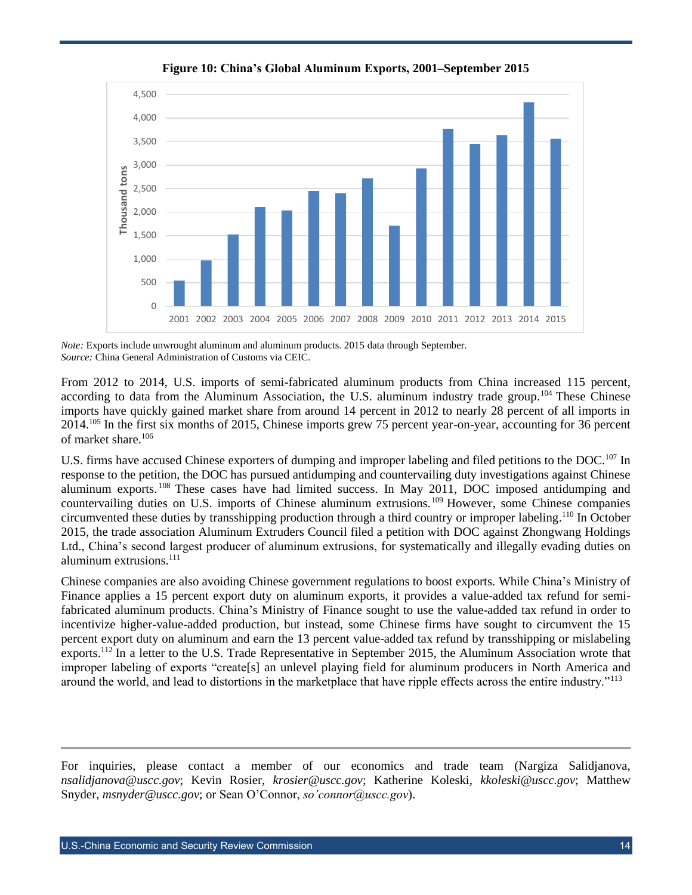

**Figure 10: China's Global Aluminum Exports, 2001–September 2015**

*Note:* Exports include unwrought aluminum and aluminum products. 2015 data through September. *Source:* China General Administration of Customs via CEIC.

From 2012 to 2014, U.S. imports of semi-fabricated aluminum products from China increased 115 percent, according to data from the Aluminum Association, the U.S. aluminum industry trade group.<sup>104</sup> These Chinese imports have quickly gained market share from around 14 percent in 2012 to nearly 28 percent of all imports in 2014.<sup>105</sup> In the first six months of 2015, Chinese imports grew 75 percent year-on-year, accounting for 36 percent of market share.<sup>106</sup>

U.S. firms have accused Chinese exporters of dumping and improper labeling and filed petitions to the DOC.<sup>107</sup> In response to the petition, the DOC has pursued antidumping and countervailing duty investigations against Chinese aluminum exports. <sup>108</sup> These cases have had limited success. In May 2011, DOC imposed antidumping and countervailing duties on U.S. imports of Chinese aluminum extrusions.<sup>109</sup> However, some Chinese companies circumvented these duties by transshipping production through a third country or improper labeling.<sup>110</sup> In October 2015, the trade association Aluminum Extruders Council filed a petition with DOC against Zhongwang Holdings Ltd., China's second largest producer of aluminum extrusions, for systematically and illegally evading duties on aluminum extrusions. $111$ 

Chinese companies are also avoiding Chinese government regulations to boost exports. While China's Ministry of Finance applies a 15 percent export duty on aluminum exports, it provides a value-added tax refund for semifabricated aluminum products. China's Ministry of Finance sought to use the value-added tax refund in order to incentivize higher-value-added production, but instead, some Chinese firms have sought to circumvent the 15 percent export duty on aluminum and earn the 13 percent value-added tax refund by transshipping or mislabeling exports.<sup>112</sup> In a letter to the U.S. Trade Representative in September 2015, the Aluminum Association wrote that improper labeling of exports "create[s] an unlevel playing field for aluminum producers in North America and around the world, and lead to distortions in the marketplace that have ripple effects across the entire industry."<sup>113</sup>

For inquiries, please contact a member of our economics and trade team (Nargiza Salidjanova, *[nsalidjanova@uscc.gov](mailto:nsalidjanova@uscc.gov)*; Kevin Rosier, *[krosier@uscc.gov](mailto:krosier@uscc.gov)*; Katherine Koleski, *[kkoleski@uscc.gov](mailto:kkoleski@uscc.gov)*; Matthew Snyder, *[msnyder@uscc.gov](mailto:msnyder@uscc.gov)*; or Sean O'Connor, *so'connor@uscc.gov*).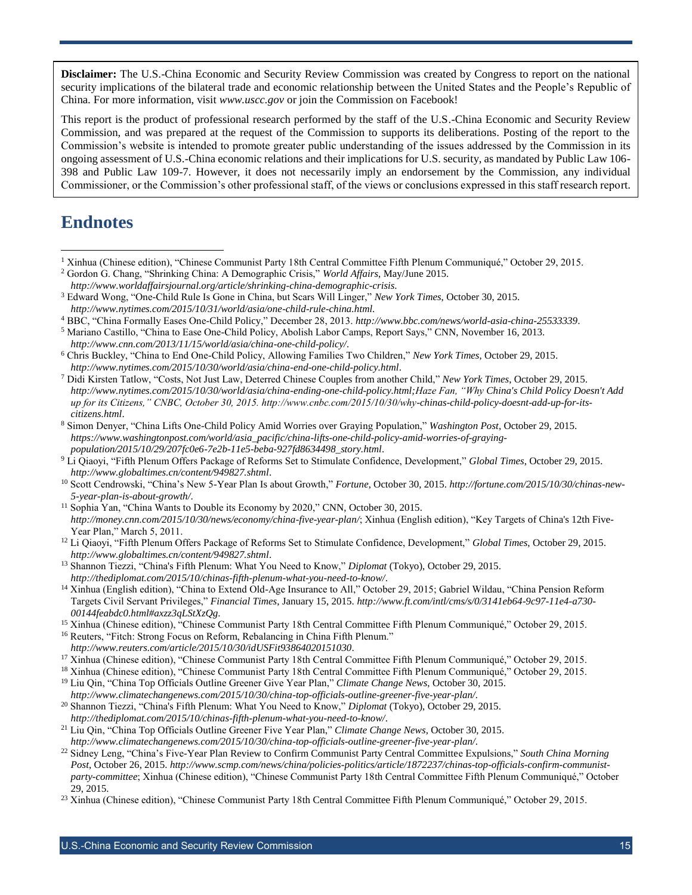**Disclaimer:** The U.S.-China Economic and Security Review Commission was created by Congress to report on the national security implications of the bilateral trade and economic relationship between the United States and the People's Republic of China. For more information, visit *[www.uscc.gov](http://www.uscc.gov/)* or join the Commission on Facebook!

This report is the product of professional research performed by the staff of the U.S.-China Economic and Security Review Commission, and was prepared at the request of the Commission to supports its deliberations. Posting of the report to the Commission's website is intended to promote greater public understanding of the issues addressed by the Commission in its ongoing assessment of U.S.-China economic relations and their implications for U.S. security, as mandated by Public Law 106- 398 and Public Law 109-7. However, it does not necessarily imply an endorsement by the Commission, any individual Commissioner, or the Commission's other professional staff, of the views or conclusions expressed in this staff research report.

## **Endnotes**

l

<sup>2</sup> Gordon G. Chang, "Shrinking China: A Demographic Crisis," *World Affairs*, May/June 2015. *<http://www.worldaffairsjournal.org/article/shrinking-china-demographic-crisis>*.

<sup>4</sup> BBC, "China Formally Eases One-Child Policy," December 28, 2013. *<http://www.bbc.com/news/world-asia-china-25533339>*.

<sup>5</sup> Mariano Castillo, "China to Ease One-Child Policy, Abolish Labor Camps, Report Says," CNN, November 16, 2013. *http://www.cnn.com/2013/11/15/world/asia/china-one-child-policy/*.

- <sup>6</sup> Chris Buckley, "China to End One-Child Policy, Allowing Families Two Children," *New York Times*, October 29, 2015. *http://www.nytimes.com/2015/10/30/world/asia/china-end-one-child-policy.html*.
- <sup>7</sup> Didi Kirsten Tatlow, "Costs, Not Just Law, Deterred Chinese Couples from another Child," *New York Times*, October 29, 2015. *[http://www.nytimes.com/2015/10/30/world/asia/china-ending-one-child-policy.html;H](http://www.nytimes.com/2015/10/30/world/asia/china-ending-one-child-policy.html;)aze Fan, "Why China's Child Policy Doesn't Add up for its Citizens," CNBC, October 30, 2015. http://www.cnbc.com/2015/10/30/why-chinas-child-policy-doesnt-add-up-for-itscitizens.html*.
- <sup>8</sup> Simon Denyer, "China Lifts One-Child Policy Amid Worries over Graying Population," *Washington Post*, October 29, 2015. *https://www.washingtonpost.com/world/asia\_pacific/china-lifts-one-child-policy-amid-worries-of-grayingpopulation/2015/10/29/207fc0e6-7e2b-11e5-beba-927fd8634498\_story.html*.
- <sup>9</sup> Li Qiaoyi, "Fifth Plenum Offers Package of Reforms Set to Stimulate Confidence, Development," *Global Times*, October 29, 2015. *<http://www.globaltimes.cn/content/949827.shtml>*.
- <sup>10</sup> Scott Cendrowski, "China's New 5-Year Plan Is about Growth," *Fortune*, October 30, 2015. *[http://fortune.com/2015/10/30/chinas-new-](http://fortune.com/2015/10/30/chinas-new-5-year-plan-is-about-growth/)[5-year-plan-is-about-growth/](http://fortune.com/2015/10/30/chinas-new-5-year-plan-is-about-growth/)*.
- <sup>11</sup> Sophia Yan, "China Wants to Double its Economy by 2020," CNN, October 30, 2015. *<http://money.cnn.com/2015/10/30/news/economy/china-five-year-plan/>*; Xinhua (English edition), "Key Targets of China's 12th Five-Year Plan," March 5, 2011.
- <sup>12</sup> Li Qiaoyi, "Fifth Plenum Offers Package of Reforms Set to Stimulate Confidence, Development," *Global Times*, October 29, 2015. *<http://www.globaltimes.cn/content/949827.shtml>*.
- <sup>13</sup> Shannon Tiezzi, "China's Fifth Plenum: What You Need to Know," *Diplomat* (Tokyo), October 29, 2015. *<http://thediplomat.com/2015/10/chinas-fifth-plenum-what-you-need-to-know/>*.
- <sup>14</sup> Xinhua (English edition), "China to Extend Old-Age Insurance to All," October 29, 2015; Gabriel Wildau, "China Pension Reform Targets Civil Servant Privileges," *Financial Times*, January 15, 2015. *[http://www.ft.com/intl/cms/s/0/3141eb64-9c97-11e4-a730-](http://www.ft.com/intl/cms/s/0/3141eb64-9c97-11e4-a730-00144feabdc0.html#axzz3qLStXzQg) [00144feabdc0.html#axzz3qLStXzQg](http://www.ft.com/intl/cms/s/0/3141eb64-9c97-11e4-a730-00144feabdc0.html#axzz3qLStXzQg)*.
- <sup>15</sup> Xinhua (Chinese edition), "Chinese Communist Party 18th Central Committee Fifth Plenum Communiqué," October 29, 2015.
- <sup>16</sup> Reuters, "Fitch: Strong Focus on Reform, Rebalancing in China Fifth Plenum." *<http://www.reuters.com/article/2015/10/30/idUSFit93864020151030>*.
- <sup>17</sup> Xinhua (Chinese edition), "Chinese Communist Party 18th Central Committee Fifth Plenum Communiqué," October 29, 2015.
- <sup>18</sup> Xinhua (Chinese edition), "Chinese Communist Party 18th Central Committee Fifth Plenum Communiqué," October 29, 2015.
- <sup>19</sup> Liu Qin, "China Top Officials Outline Greener Give Year Plan," *Climate Change News*, October 30, 2015. *<http://www.climatechangenews.com/2015/10/30/china-top-officials-outline-greener-five-year-plan/>*.
- <sup>20</sup> Shannon Tiezzi, "China's Fifth Plenum: What You Need to Know," *Diplomat* (Tokyo), October 29, 2015. *<http://thediplomat.com/2015/10/chinas-fifth-plenum-what-you-need-to-know/>*.
- <sup>21</sup> Liu Qin, "China Top Officials Outline Greener Five Year Plan," *Climate Change News*, October 30, 2015. *<http://www.climatechangenews.com/2015/10/30/china-top-officials-outline-greener-five-year-plan/>*.
- <sup>22</sup> Sidney Leng, "China's Five-Year Plan Review to Confirm Communist Party Central Committee Expulsions," *South China Morning Post*, October 26, 2015. *[http://www.scmp.com/news/china/policies-politics/article/1872237/chinas-top-officials-confirm-communist](http://www.scmp.com/news/china/policies-politics/article/1872237/chinas-top-officials-confirm-communist-party-committee)[party-committee](http://www.scmp.com/news/china/policies-politics/article/1872237/chinas-top-officials-confirm-communist-party-committee)*; Xinhua (Chinese edition), "Chinese Communist Party 18th Central Committee Fifth Plenum Communiqué," October 29, 2015.
- <sup>23</sup> Xinhua (Chinese edition), "Chinese Communist Party 18th Central Committee Fifth Plenum Communiqué," October 29, 2015.

<sup>1</sup> Xinhua (Chinese edition), "Chinese Communist Party 18th Central Committee Fifth Plenum Communiqué," October 29, 2015.

<sup>3</sup> Edward Wong, "One-Child Rule Is Gone in China, but Scars Will Linger," *New York Times*, October 30, 2015. *<http://www.nytimes.com/2015/10/31/world/asia/one-child-rule-china.html>*.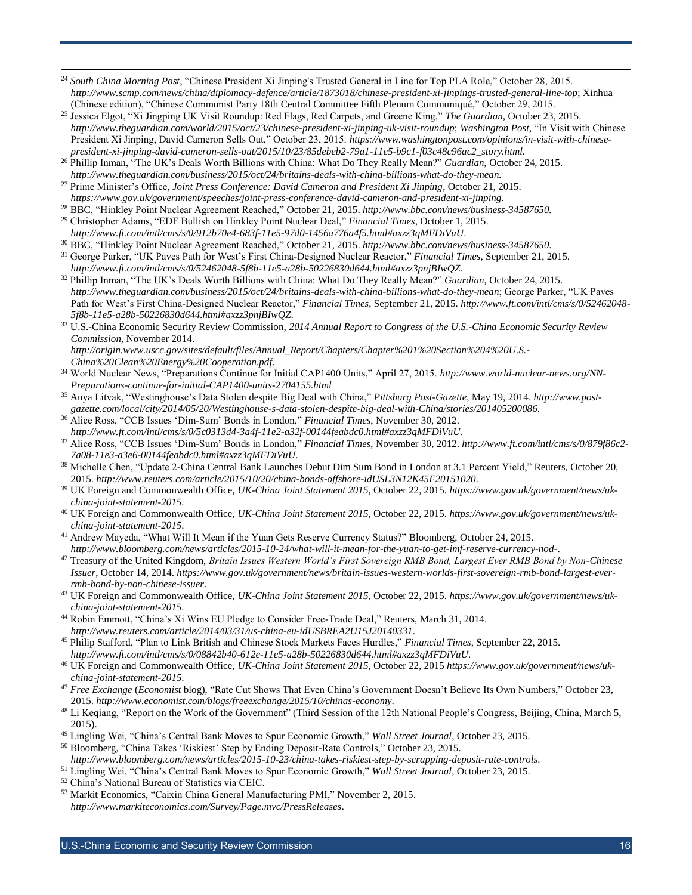- <sup>24</sup> *South China Morning Post*, "Chinese President Xi Jinping's Trusted General in Line for Top PLA Role," October 28, 2015. *<http://www.scmp.com/news/china/diplomacy-defence/article/1873018/chinese-president-xi-jinpings-trusted-general-line-top>*; Xinhua (Chinese edition), "Chinese Communist Party 18th Central Committee Fifth Plenum Communiqué," October 29, 2015.
- <sup>25</sup> Jessica Elgot, "Xi Jingping UK Visit Roundup: Red Flags, Red Carpets, and Greene King," *The Guardian,* October 23, 2015. *<http://www.theguardian.com/world/2015/oct/23/chinese-president-xi-jinping-uk-visit-roundup>*; *Washington Post,* "In Visit with Chinese President Xi Jinping, David Cameron Sells Out," October 23, 2015. *https://www.washingtonpost.com/opinions/in-visit-with-chinesepresident-xi-jinping-david-cameron-sells-out/2015/10/23/85debeb2-79a1-11e5-b9c1-f03c48c96ac2\_story.html.*
- <sup>26</sup> Phillip Inman, "The UK's Deals Worth Billions with China: What Do They Really Mean?" *Guardian*, October 24, 2015. *http://www.theguardian.com/business/2015/oct/24/britains-deals-with-china-billions-what-do-they-mean.*
- <sup>27</sup> Prime Minister's Office, *Joint Press Conference: David Cameron and President Xi Jinping*, October 21, 2015. *https://www.gov.uk/government/speeches/joint-press-conference-david-cameron-and-president-xi-jinping.*
- <sup>28</sup> BBC, "Hinkley Point Nuclear Agreement Reached," October 21, 2015. *http://www.bbc.com/news/business-34587650.*
- <sup>29</sup> Christopher Adams, "EDF Bullish on Hinkley Point Nuclear Deal," *Financial Times*, October 1, 2015. *http://www.ft.com/intl/cms/s/0/912b70e4-683f-11e5-97d0-1456a776a4f5.html#axzz3qMFDiVuU*.
- <sup>30</sup> BBC, "Hinkley Point Nuclear Agreement Reached," October 21, 2015. *http://www.bbc.com/news/business-34587650.*
- <sup>31</sup> George Parker, "UK Paves Path for West's First China-Designed Nuclear Reactor," *Financial Times*, September 21, 2015. *http://www.ft.com/intl/cms/s/0/52462048-5f8b-11e5-a28b-50226830d644.html#axzz3pnjBIwQZ*.
- <sup>32</sup> Phillip Inman, "The UK's Deals Worth Billions with China: What Do They Really Mean?" *Guardian*, October 24, 2015. *http://www.theguardian.com/business/2015/oct/24/britains-deals-with-china-billions-what-do-they-mean*; George Parker, "UK Paves Path for West's First China-Designed Nuclear Reactor," *Financial Times*, September 21, 2015. *http://www.ft.com/intl/cms/s/0/52462048- 5f8b-11e5-a28b-50226830d644.html#axzz3pnjBIwQZ*.
- <sup>33</sup> U.S.-China Economic Security Review Commission, *2014 Annual Report to Congress of the U.S.-China Economic Security Review Commission*, November 2014.
	- *[http://origin.www.uscc.gov/sites/default/files/Annual\\_Report/Chapters/Chapter%201%20Section%204%20U.S.-](http://origin.www.uscc.gov/sites/default/files/Annual_Report/Chapters/Chapter%201%20Section%204%20U.S.-China%20Clean%20Energy%20Cooperation.pdf) [China%20Clean%20Energy%20Cooperation.pdf](http://origin.www.uscc.gov/sites/default/files/Annual_Report/Chapters/Chapter%201%20Section%204%20U.S.-China%20Clean%20Energy%20Cooperation.pdf)*.
- <sup>34</sup> World Nuclear News, "Preparations Continue for Initial CAP1400 Units," April 27, 2015. *http://www.world-nuclear-news.org/NN-Preparations-continue-for-initial-CAP1400-units-2704155.html*
- <sup>35</sup> Anya Litvak, "Westinghouse's Data Stolen despite Big Deal with China," *Pittsburg Post-Gazette*, May 19, 2014. *http://www.postgazette.com/local/city/2014/05/20/Westinghouse-s-data-stolen-despite-big-deal-with-China/stories/201405200086*.
- <sup>36</sup> Alice Ross, "CCB Issues 'Dim-Sum' Bonds in London," *Financial Times*, November 30, 2012. *http://www.ft.com/intl/cms/s/0/5c0313d4-3a4f-11e2-a32f-00144feabdc0.html#axzz3qMFDiVuU*.
- <sup>37</sup> Alice Ross, "CCB Issues 'Dim-Sum' Bonds in London," *Financial Times*, November 30, 2012. *http://www.ft.com/intl/cms/s/0/879f86c2- 7a08-11e3-a3e6-00144feabdc0.html#axzz3qMFDiVuU*.
- <sup>38</sup> Michelle Chen, "Update 2-China Central Bank Launches Debut Dim Sum Bond in London at 3.1 Percent Yield," Reuters, October 20, 2015. *http://www.reuters.com/article/2015/10/20/china-bonds-offshore-idUSL3N12K45F20151020*.
- <sup>39</sup> UK Foreign and Commonwealth Office, *UK-China Joint Statement 2015*, October 22, 2015. *https://www.gov.uk/government/news/ukchina-joint-statement-2015*.
- <sup>40</sup> UK Foreign and Commonwealth Office, *UK-China Joint Statement 2015*, October 22, 2015. *https://www.gov.uk/government/news/ukchina-joint-statement-2015*.
- <sup>41</sup> Andrew Mayeda, "What Will It Mean if the Yuan Gets Reserve Currency Status?" Bloomberg, October 24, 2015. *http://www.bloomberg.com/news/articles/2015-10-24/what-will-it-mean-for-the-yuan-to-get-imf-reserve-currency-nod-*.
- <sup>42</sup> Treasury of the United Kingdom, *Britain Issues Western World's First Sovereign RMB Bond, Largest Ever RMB Bond by Non-Chinese Issuer*, October 14, 2014. *https://www.gov.uk/government/news/britain-issues-western-worlds-first-sovereign-rmb-bond-largest-everrmb-bond-by-non-chinese-issuer*.
- <sup>43</sup> UK Foreign and Commonwealth Office, *UK-China Joint Statement 2015*, October 22, 2015. *https://www.gov.uk/government/news/ukchina-joint-statement-2015*.
- <sup>44</sup> Robin Emmott, "China's Xi Wins EU Pledge to Consider Free-Trade Deal," Reuters, March 31, 2014. *http://www.reuters.com/article/2014/03/31/us-china-eu-idUSBREA2U15J20140331*.
- <sup>45</sup> Philip Stafford, "Plan to Link British and Chinese Stock Markets Faces Hurdles," *Financial Times*, September 22, 2015. *http://www.ft.com/intl/cms/s/0/08842b40-612e-11e5-a28b-50226830d644.html#axzz3qMFDiVuU*.
- <sup>46</sup> UK Foreign and Commonwealth Office, *UK-China Joint Statement 2015*, October 22, 2015 *https://www.gov.uk/government/news/ukchina-joint-statement-2015*.
- <sup>47</sup> *Free Exchange* (*Economist* blog), "Rate Cut Shows That Even China's Government Doesn't Believe Its Own Numbers," October 23, 2015. *<http://www.economist.com/blogs/freeexchange/2015/10/chinas-economy>*.
- <sup>48</sup> Li Keqiang, "Report on the Work of the Government" (Third Session of the 12th National People's Congress, Beijing, China, March 5, 2015).
- <sup>49</sup> Lingling Wei, "China's Central Bank Moves to Spur Economic Growth," *Wall Street Journal*, October 23, 2015*.*
- <sup>50</sup> Bloomberg, "China Takes 'Riskiest' Step by Ending Deposit-Rate Controls," October 23, 2015. *<http://www.bloomberg.com/news/articles/2015-10-23/china-takes-riskiest-step-by-scrapping-deposit-rate-controls>*.
- 
- <sup>51</sup> Lingling Wei, "China's Central Bank Moves to Spur Economic Growth," *Wall Street Journal*, October 23, 2015.
- <sup>52</sup> China's National Bureau of Statistics via CEIC.

l

<sup>53</sup> Markit Economics, "Caixin China General Manufacturing PMI," November 2, 2015. *<http://www.markiteconomics.com/Survey/Page.mvc/PressReleases>*.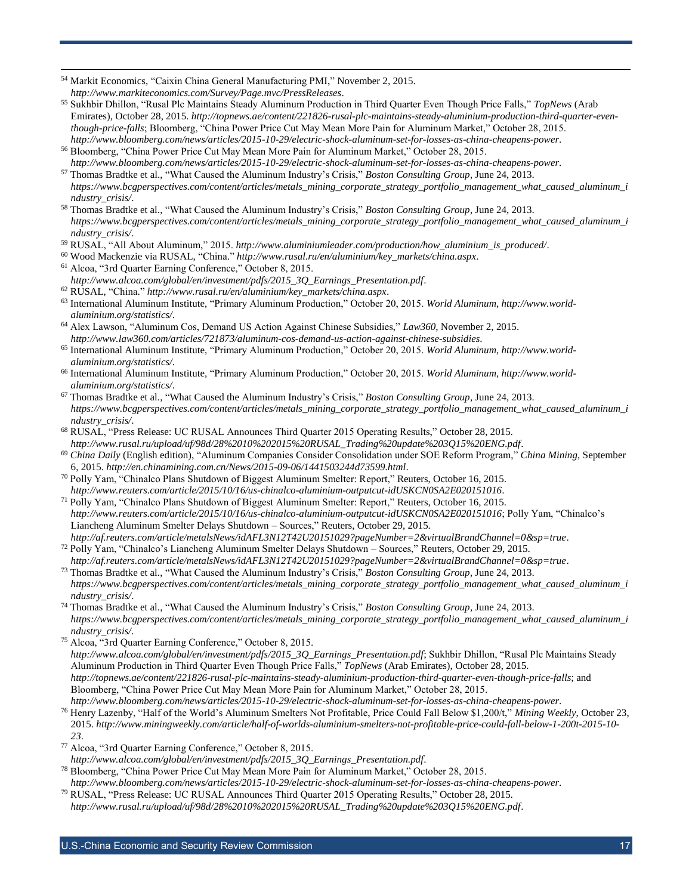<sup>54</sup> Markit Economics, "Caixin China General Manufacturing PMI," November 2, 2015.

*<http://www.markiteconomics.com/Survey/Page.mvc/PressReleases>*.

- <sup>55</sup> Sukhbir Dhillon, "Rusal Plc Maintains Steady Aluminum Production in Third Quarter Even Though Price Falls," *TopNews* (Arab Emirates), October 28, 2015. *[http://topnews.ae/content/221826-rusal-plc-maintains-steady-aluminium-production-third-quarter-even](http://topnews.ae/content/221826-rusal-plc-maintains-steady-aluminium-production-third-quarter-even-though-price-falls)[though-price-falls](http://topnews.ae/content/221826-rusal-plc-maintains-steady-aluminium-production-third-quarter-even-though-price-falls)*; Bloomberg, "China Power Price Cut May Mean More Pain for Aluminum Market," October 28, 2015. *<http://www.bloomberg.com/news/articles/2015-10-29/electric-shock-aluminum-set-for-losses-as-china-cheapens-power>*.
- <sup>56</sup> Bloomberg, "China Power Price Cut May Mean More Pain for Aluminum Market," October 28, 2015. *<http://www.bloomberg.com/news/articles/2015-10-29/electric-shock-aluminum-set-for-losses-as-china-cheapens-power>*.
- <sup>57</sup> Thomas Bradtke et al., "What Caused the Aluminum Industry's Crisis," *Boston Consulting Group*, June 24, 2013. *[https://www.bcgperspectives.com/content/articles/metals\\_mining\\_corporate\\_strategy\\_portfolio\\_management\\_what\\_caused\\_aluminum\\_i](https://www.bcgperspectives.com/content/articles/metals_mining_corporate_strategy_portfolio_management_what_caused_aluminum_industry_crisis/) [ndustry\\_crisis/](https://www.bcgperspectives.com/content/articles/metals_mining_corporate_strategy_portfolio_management_what_caused_aluminum_industry_crisis/)*.
- <sup>58</sup> Thomas Bradtke et al., "What Caused the Aluminum Industry's Crisis," *Boston Consulting Group*, June 24, 2013. *[https://www.bcgperspectives.com/content/articles/metals\\_mining\\_corporate\\_strategy\\_portfolio\\_management\\_what\\_caused\\_aluminum\\_i](https://www.bcgperspectives.com/content/articles/metals_mining_corporate_strategy_portfolio_management_what_caused_aluminum_industry_crisis/) [ndustry\\_crisis/](https://www.bcgperspectives.com/content/articles/metals_mining_corporate_strategy_portfolio_management_what_caused_aluminum_industry_crisis/)*.
- <sup>59</sup> RUSAL, "All About Aluminum," 2015. *http://www.aluminiumleader.com/production/how\_aluminium\_is\_produced/*.
- <sup>60</sup> Wood Mackenzie via RUSAL, "China." *http://www.rusal.ru/en/aluminium/key\_markets/china.aspx*.
- <sup>61</sup> Alcoa, "3rd Quarter Earning Conference," October 8, 2015. *[http://www.alcoa.com/global/en/investment/pdfs/2015\\_3Q\\_Earnings\\_Presentation.pdf](http://www.alcoa.com/global/en/investment/pdfs/2015_3Q_Earnings_Presentation.pdf)*.
- <sup>62</sup> RUSAL, "China." *http://www.rusal.ru/en/aluminium/key\_markets/china.aspx*.
- <sup>63</sup> International Aluminum Institute, "Primary Aluminum Production," October 20, 2015. *World Aluminum*, *[http://www.world](http://www.world-aluminium.org/statistics/)[aluminium.org/statistics/](http://www.world-aluminium.org/statistics/)*.
- <sup>64</sup> Alex Lawson, "Aluminum Cos, Demand US Action Against Chinese Subsidies," *Law360*, November 2, 2015. *<http://www.law360.com/articles/721873/aluminum-cos-demand-us-action-against-chinese-subsidies>*.
- <sup>65</sup> International Aluminum Institute, "Primary Aluminum Production," October 20, 2015. *World Aluminum*, *[http://www.world](http://www.world-aluminium.org/statistics/)[aluminium.org/statistics/](http://www.world-aluminium.org/statistics/)*.
- <sup>66</sup> International Aluminum Institute, "Primary Aluminum Production," October 20, 2015. *World Aluminum*, *[http://www.world](http://www.world-aluminium.org/statistics/)[aluminium.org/statistics/](http://www.world-aluminium.org/statistics/)*.
- <sup>67</sup> Thomas Bradtke et al., "What Caused the Aluminum Industry's Crisis," *Boston Consulting Group*, June 24, 2013. *[https://www.bcgperspectives.com/content/articles/metals\\_mining\\_corporate\\_strategy\\_portfolio\\_management\\_what\\_caused\\_aluminum\\_i](https://www.bcgperspectives.com/content/articles/metals_mining_corporate_strategy_portfolio_management_what_caused_aluminum_industry_crisis/) [ndustry\\_crisis/](https://www.bcgperspectives.com/content/articles/metals_mining_corporate_strategy_portfolio_management_what_caused_aluminum_industry_crisis/)*.
- <sup>68</sup> RUSAL, "Press Release: UC RUSAL Announces Third Quarter 2015 Operating Results," October 28, 2015. *[http://www.rusal.ru/upload/uf/98d/28%2010%202015%20RUSAL\\_Trading%20update%203Q15%20ENG.pdf](http://www.rusal.ru/upload/uf/98d/28%2010%202015%20RUSAL_Trading%20update%203Q15%20ENG.pdf)*.
- <sup>69</sup> *China Daily* (English edition), "Aluminum Companies Consider Consolidation under SOE Reform Program," *China Mining*, September 6, 2015. *<http://en.chinamining.com.cn/News/2015-09-06/1441503244d73599.html>*.
- <sup>70</sup> Polly Yam, "Chinalco Plans Shutdown of Biggest Aluminum Smelter: Report," Reuters, October 16, 2015. *<http://www.reuters.com/article/2015/10/16/us-chinalco-aluminium-outputcut-idUSKCN0SA2E020151016>*.
- <sup>71</sup> Polly Yam, "Chinalco Plans Shutdown of Biggest Aluminum Smelter: Report," Reuters, October 16, 2015. *<http://www.reuters.com/article/2015/10/16/us-chinalco-aluminium-outputcut-idUSKCN0SA2E020151016>*; Polly Yam, "Chinalco's Liancheng Aluminum Smelter Delays Shutdown – Sources," Reuters, October 29, 2015. *<http://af.reuters.com/article/metalsNews/idAFL3N12T42U20151029?pageNumber=2&virtualBrandChannel=0&sp=true>*.
- <sup>72</sup> Polly Yam, "Chinalco's Liancheng Aluminum Smelter Delays Shutdown Sources," Reuters, October 29, 2015. *<http://af.reuters.com/article/metalsNews/idAFL3N12T42U20151029?pageNumber=2&virtualBrandChannel=0&sp=true>*.
- <sup>73</sup> Thomas Bradtke et al., "What Caused the Aluminum Industry's Crisis," *Boston Consulting Group*, June 24, 2013. *[https://www.bcgperspectives.com/content/articles/metals\\_mining\\_corporate\\_strategy\\_portfolio\\_management\\_what\\_caused\\_aluminum\\_i](https://www.bcgperspectives.com/content/articles/metals_mining_corporate_strategy_portfolio_management_what_caused_aluminum_industry_crisis/) [ndustry\\_crisis/](https://www.bcgperspectives.com/content/articles/metals_mining_corporate_strategy_portfolio_management_what_caused_aluminum_industry_crisis/)*.
- <sup>74</sup> Thomas Bradtke et al., "What Caused the Aluminum Industry's Crisis," *Boston Consulting Group*, June 24, 2013. *[https://www.bcgperspectives.com/content/articles/metals\\_mining\\_corporate\\_strategy\\_portfolio\\_management\\_what\\_caused\\_aluminum\\_i](https://www.bcgperspectives.com/content/articles/metals_mining_corporate_strategy_portfolio_management_what_caused_aluminum_industry_crisis/) [ndustry\\_crisis/](https://www.bcgperspectives.com/content/articles/metals_mining_corporate_strategy_portfolio_management_what_caused_aluminum_industry_crisis/)*.
- <sup>75</sup> Alcoa, "3rd Quarter Earning Conference," October 8, 2015. *[http://www.alcoa.com/global/en/investment/pdfs/2015\\_3Q\\_Earnings\\_Presentation.pdf](http://www.alcoa.com/global/en/investment/pdfs/2015_3Q_Earnings_Presentation.pdf)*; Sukhbir Dhillon, "Rusal Plc Maintains Steady Aluminum Production in Third Quarter Even Though Price Falls," *TopNews* (Arab Emirates), October 28, 2015. *<http://topnews.ae/content/221826-rusal-plc-maintains-steady-aluminium-production-third-quarter-even-though-price-falls>*; and Bloomberg, "China Power Price Cut May Mean More Pain for Aluminum Market," October 28, 2015. *<http://www.bloomberg.com/news/articles/2015-10-29/electric-shock-aluminum-set-for-losses-as-china-cheapens-power>*.
- <sup>76</sup> Henry Lazenby, "Half of the World's Aluminum Smelters Not Profitable, Price Could Fall Below \$1,200/t," *Mining Weekly*, October 23, 2015. *[http://www.miningweekly.com/article/half-of-worlds-aluminium-smelters-not-profitable-price-could-fall-below-1-200t-2015-10-](http://www.miningweekly.com/article/half-of-worlds-aluminium-smelters-not-profitable-price-could-fall-below-1-200t-2015-10-23) [23](http://www.miningweekly.com/article/half-of-worlds-aluminium-smelters-not-profitable-price-could-fall-below-1-200t-2015-10-23)*.
- <sup>77</sup> Alcoa, "3rd Quarter Earning Conference," October 8, 2015. *[http://www.alcoa.com/global/en/investment/pdfs/2015\\_3Q\\_Earnings\\_Presentation.pdf](http://www.alcoa.com/global/en/investment/pdfs/2015_3Q_Earnings_Presentation.pdf)*.
- <sup>78</sup> Bloomberg, "China Power Price Cut May Mean More Pain for Aluminum Market," October 28, 2015. *<http://www.bloomberg.com/news/articles/2015-10-29/electric-shock-aluminum-set-for-losses-as-china-cheapens-power>*.
- <sup>79</sup> RUSAL, "Press Release: UC RUSAL Announces Third Quarter 2015 Operating Results," October 28, 2015. *[http://www.rusal.ru/upload/uf/98d/28%2010%202015%20RUSAL\\_Trading%20update%203Q15%20ENG.pdf](http://www.rusal.ru/upload/uf/98d/28%2010%202015%20RUSAL_Trading%20update%203Q15%20ENG.pdf)*.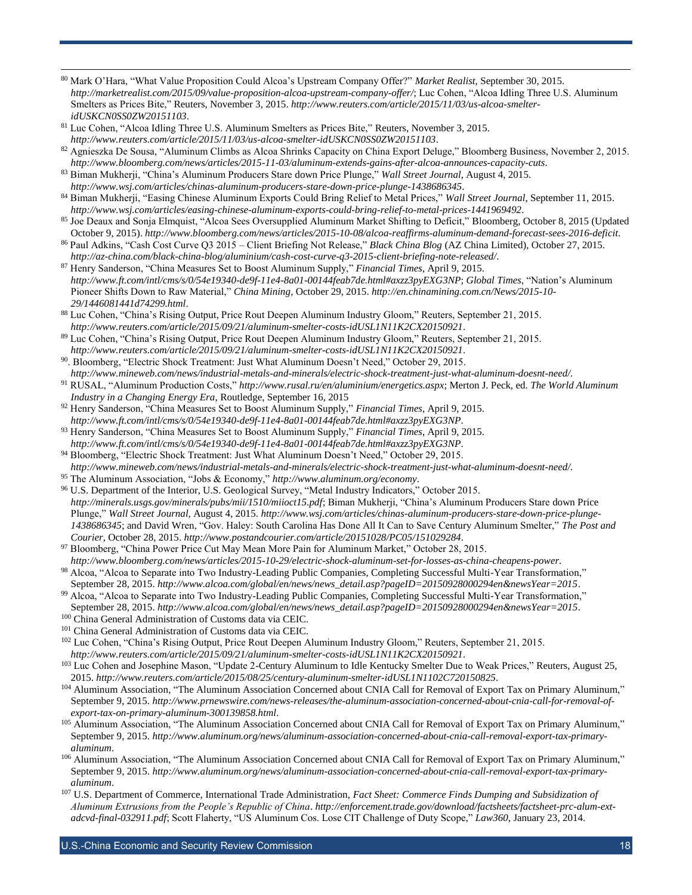- <sup>80</sup> Mark O'Hara, "What Value Proposition Could Alcoa's Upstream Company Offer?" *Market Realist*, September 30, 2015. *<http://marketrealist.com/2015/09/value-proposition-alcoa-upstream-company-offer/>*; Luc Cohen, "Alcoa Idling Three U.S. Aluminum Smelters as Prices Bite," Reuters, November 3, 2015. *[http://www.reuters.com/article/2015/11/03/us-alcoa-smelter](http://www.reuters.com/article/2015/11/03/us-alcoa-smelter-idUSKCN0SS0ZW20151103)[idUSKCN0SS0ZW20151103](http://www.reuters.com/article/2015/11/03/us-alcoa-smelter-idUSKCN0SS0ZW20151103)*.
- <sup>81</sup> Luc Cohen, "Alcoa Idling Three U.S. Aluminum Smelters as Prices Bite," Reuters, November 3, 2015. *<http://www.reuters.com/article/2015/11/03/us-alcoa-smelter-idUSKCN0SS0ZW20151103>*.

- <sup>82</sup> Agnieszka De Sousa, "Aluminum Climbs as Alcoa Shrinks Capacity on China Export Deluge," Bloomberg Business, November 2, 2015. *<http://www.bloomberg.com/news/articles/2015-11-03/aluminum-extends-gains-after-alcoa-announces-capacity-cuts>*.
- <sup>83</sup> Biman Mukherji, "China's Aluminum Producers Stare down Price Plunge," *Wall Street Journal*, August 4, 2015. *http://www.wsj.com/articles/chinas-aluminum-producers-stare-down-price-plunge-1438686345*.
- <sup>84</sup> Biman Mukherji, "Easing Chinese Aluminum Exports Could Bring Relief to Metal Prices," *Wall Street Journal*, September 11, 2015. *<http://www.wsj.com/articles/easing-chinese-aluminum-exports-could-bring-relief-to-metal-prices-1441969492>*.
- <sup>85</sup> Joe Deaux and Sonja Elmquist, "Alcoa Sees Oversupplied Aluminum Market Shifting to Deficit," Bloomberg, October 8, 2015 (Updated October 9, 2015). *http://www.bloomberg.com/news/articles/2015-10-08/alcoa-reaffirms-aluminum-demand-forecast-sees-2016-deficit*.
- <sup>86</sup> Paul Adkins, "Cash Cost Curve Q3 2015 Client Briefing Not Release," *Black China Blog* (AZ China Limited), October 27, 2015. *<http://az-china.com/black-china-blog/aluminium/cash-cost-curve-q3-2015-client-briefing-note-released/>*.
- <sup>87</sup> Henry Sanderson, "China Measures Set to Boost Aluminum Supply," *Financial Times*, April 9, 2015. *<http://www.ft.com/intl/cms/s/0/54e19340-de9f-11e4-8a01-00144feab7de.html#axzz3pyEXG3NP>*; *Global Times*, "Nation's Aluminum Pioneer Shifts Down to Raw Material," *China Mining*, October 29, 2015. *[http://en.chinamining.com.cn/News/2015-10-](http://en.chinamining.com.cn/News/2015-10-29/1446081441d74299.html) [29/1446081441d74299.html](http://en.chinamining.com.cn/News/2015-10-29/1446081441d74299.html)*.
- <sup>88</sup> Luc Cohen, "China's Rising Output, Price Rout Deepen Aluminum Industry Gloom," Reuters, September 21, 2015. *<http://www.reuters.com/article/2015/09/21/aluminum-smelter-costs-idUSL1N11K2CX20150921>*.
- <sup>89</sup> Luc Cohen, "China's Rising Output, Price Rout Deepen Aluminum Industry Gloom," Reuters, September 21, 2015. *<http://www.reuters.com/article/2015/09/21/aluminum-smelter-costs-idUSL1N11K2CX20150921>*.
- <sup>90</sup>. Bloomberg, "Electric Shock Treatment: Just What Aluminum Doesn't Need," October 29, 2015. *[http://www.mineweb.com/news/industrial-metals-and-minerals/electric-shock-treatment-just-what-aluminum-doesnt-need/.](http://www.mineweb.com/news/industrial-metals-and-minerals/electric-shock-treatment-just-what-aluminum-doesnt-need/)*
- <sup>91</sup> RUSAL, "Aluminum Production Costs," *<http://www.rusal.ru/en/aluminium/energetics.aspx>*; Merton J. Peck, ed. *The World Aluminum Industry in a Changing Energy Era*, Routledge, September 16, 2015
- <sup>92</sup> Henry Sanderson, "China Measures Set to Boost Aluminum Supply," *Financial Times*, April 9, 2015. *<http://www.ft.com/intl/cms/s/0/54e19340-de9f-11e4-8a01-00144feab7de.html#axzz3pyEXG3NP>*.
- <sup>93</sup> Henry Sanderson, "China Measures Set to Boost Aluminum Supply," *Financial Times*, April 9, 2015. *<http://www.ft.com/intl/cms/s/0/54e19340-de9f-11e4-8a01-00144feab7de.html#axzz3pyEXG3NP>*.
- <sup>94</sup> Bloomberg, "Electric Shock Treatment: Just What Aluminum Doesn't Need," October 29, 2015. *[http://www.mineweb.com/news/industrial-metals-and-minerals/electric-shock-treatment-just-what-aluminum-doesnt-need/.](http://www.mineweb.com/news/industrial-metals-and-minerals/electric-shock-treatment-just-what-aluminum-doesnt-need/)*
- <sup>95</sup> The Aluminum Association, "Jobs & Economy," *<http://www.aluminum.org/economy>*.
- <sup>96</sup> U.S. Department of the Interior, U.S. Geological Survey, "Metal Industry Indicators," October 2015. *<http://minerals.usgs.gov/minerals/pubs/mii/1510/miioct15.pdf>*; Biman Mukherji, "China's Aluminum Producers Stare down Price Plunge," *Wall Street Journal*, August 4, 2015. *[http://www.wsj.com/articles/chinas-aluminum-producers-stare-down-price-plunge-](http://www.wsj.com/articles/chinas-aluminum-producers-stare-down-price-plunge-1438686345)[1438686345](http://www.wsj.com/articles/chinas-aluminum-producers-stare-down-price-plunge-1438686345)*; and David Wren, "Gov. Haley: South Carolina Has Done All It Can to Save Century Aluminum Smelter," *The Post and Courier*, October 28, 2015. *<http://www.postandcourier.com/article/20151028/PC05/151029284>*.
- <sup>97</sup> Bloomberg, "China Power Price Cut May Mean More Pain for Aluminum Market," October 28, 2015.
- *<http://www.bloomberg.com/news/articles/2015-10-29/electric-shock-aluminum-set-for-losses-as-china-cheapens-power>*. 98 Alcoa, "Alcoa to Separate into Two Industry-Leading Public Companies, Completing Successful Multi-Year Transformation,"
- September 28, 2015. *[http://www.alcoa.com/global/en/news/news\\_detail.asp?pageID=20150928000294en&newsYear=2015](http://www.alcoa.com/global/en/news/news_detail.asp?pageID=20150928000294en&newsYear=2015)*. 99 Alcoa, "Alcoa to Separate into Two Industry-Leading Public Companies, Completing Successful Multi-Year Transformation," September 28, 2015. *[http://www.alcoa.com/global/en/news/news\\_detail.asp?pageID=20150928000294en&newsYear=2015](http://www.alcoa.com/global/en/news/news_detail.asp?pageID=20150928000294en&newsYear=2015)*.
- <sup>100</sup> China General Administration of Customs data via CEIC.
- <sup>101</sup> China General Administration of Customs data via CEIC.
- <sup>102</sup> Luc Cohen, "China's Rising Output, Price Rout Deepen Aluminum Industry Gloom," Reuters, September 21, 2015. *<http://www.reuters.com/article/2015/09/21/aluminum-smelter-costs-idUSL1N11K2CX20150921>*.
- <sup>103</sup> Luc Cohen and Josephine Mason, "Update 2-Century Aluminum to Idle Kentucky Smelter Due to Weak Prices," Reuters, August 25, 2015. *<http://www.reuters.com/article/2015/08/25/century-aluminum-smelter-idUSL1N1102C720150825>*.
- <sup>104</sup> Aluminum Association, "The Aluminum Association Concerned about CNIA Call for Removal of Export Tax on Primary Aluminum," September 9, 2015. *[http://www.prnewswire.com/news-releases/the-aluminum-association-concerned-about-cnia-call-for-removal-of](http://www.prnewswire.com/news-releases/the-aluminum-association-concerned-about-cnia-call-for-removal-of-export-tax-on-primary-aluminum-300139858.html)[export-tax-on-primary-aluminum-300139858.html](http://www.prnewswire.com/news-releases/the-aluminum-association-concerned-about-cnia-call-for-removal-of-export-tax-on-primary-aluminum-300139858.html)*.
- 105 Aluminum Association, "The Aluminum Association Concerned about CNIA Call for Removal of Export Tax on Primary Aluminum," September 9, 2015. *[http://www.aluminum.org/news/aluminum-association-concerned-about-cnia-call-removal-export-tax-primary](http://www.aluminum.org/news/aluminum-association-concerned-about-cnia-call-removal-export-tax-primary-aluminum)[aluminum](http://www.aluminum.org/news/aluminum-association-concerned-about-cnia-call-removal-export-tax-primary-aluminum)*.
- 106 Aluminum Association, "The Aluminum Association Concerned about CNIA Call for Removal of Export Tax on Primary Aluminum," September 9, 2015. *[http://www.aluminum.org/news/aluminum-association-concerned-about-cnia-call-removal-export-tax-primary](http://www.aluminum.org/news/aluminum-association-concerned-about-cnia-call-removal-export-tax-primary-aluminum)[aluminum](http://www.aluminum.org/news/aluminum-association-concerned-about-cnia-call-removal-export-tax-primary-aluminum)*.
- <sup>107</sup> U.S. Department of Commerce, International Trade Administration, *Fact Sheet: Commerce Finds Dumping and Subsidization of Aluminum Extrusions from the People's Republic of China*. *[http://enforcement.trade.gov/download/factsheets/factsheet-prc-alum-ext](http://enforcement.trade.gov/download/factsheets/factsheet-prc-alum-ext-adcvd-final-032911.pdf)[adcvd-final-032911.pdf](http://enforcement.trade.gov/download/factsheets/factsheet-prc-alum-ext-adcvd-final-032911.pdf)*; Scott Flaherty, "US Aluminum Cos. Lose CIT Challenge of Duty Scope," *Law360*, January 23, 2014.